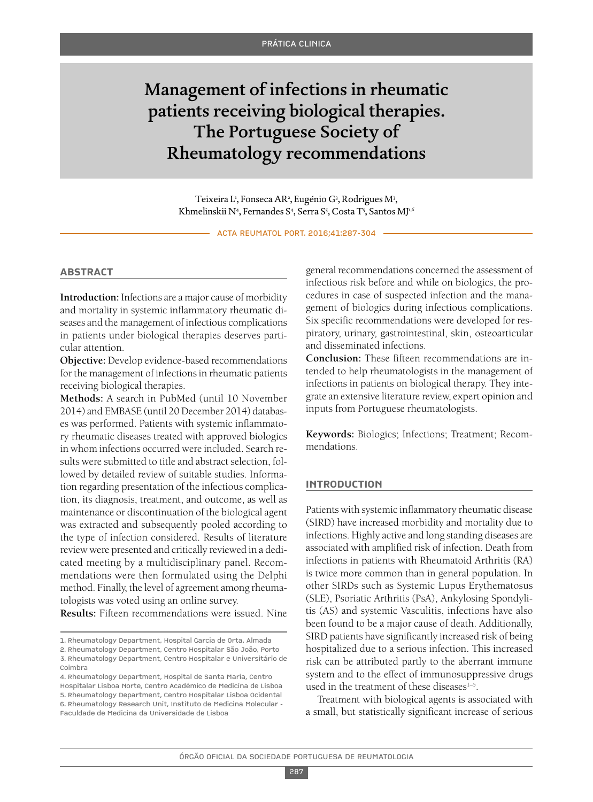# Management of infections in rheumatic patients receiving biological therapies. The Portuguese Society of Rheumatology recommendations

Teixeira L<sup>1</sup>, Fonseca AR<sup>2</sup>, Eugénio G<sup>3</sup>, Rodrigues M<sup>3</sup>, Khmelinskii N<sup>4</sup>, Fernandes S<sup>4</sup>, Serra S<sup>5</sup>, Costa T<sup>5</sup>, Santos MJ<sup>1,6</sup>

ACTA REUMATOL PORT. 2016;41:287-304

#### **AbstrAct**

**Introduction:** Infections are a major cause of morbidity and mortality in systemic inflammatory rheumatic diseases and the management of infectious complications in patients under biological therapies deserves particular attention.

**Objective:** Develop evidence-based recommendations for the management of infections in rheumatic patients receiving biological therapies.

**Methods:** A search in PubMed (until 10 November 2014) and EMBASE (until 20 December 2014) databases was performed. Patients with systemic inflammatory rheumatic diseases treated with approved biologics in whom infections occurred were included. Search results were submitted to title and abstract selection, followed by detailed review of suitable studies. Information regarding presentation of the infectious complication, its diagnosis, treatment, and outcome, as well as maintenance or discontinuation of the biological agent was extracted and subsequently pooled according to the type of infection considered. Results of literature review were presented and critically reviewed in a dedicated meeting by a multidisciplinary panel. Recommendations were then formulated using the Delphi method. Finally, the level of agreement among rheumatologists was voted using an online survey.

**Results:** Fifteen recommendations were issued. Nine

general recommendations concerned the assessment of infectious risk before and while on biologics, the procedures in case of suspected infection and the management of biologics during infectious complications. Six specific recommendations were developed for respiratory, urinary, gastrointestinal, skin, osteoarticular and disseminated infections.

**Conclusion:** These fifteen recommendations are intended to help rheumatologists in the management of infections in patients on biological therapy. They integrate an extensive literature review, expert opinion and inputs from Portuguese rheumatologists.

**Keywords:** Biologics; Infections; Treatment; Recommendations.

#### **IntroductIon**

Patients with systemic inflammatory rheumatic disease (SIRD) have increased morbidity and mortality due to infections. Highly active and long standing diseases are associated with amplified risk of infection. Death from infections in patients with Rheumatoid Arthritis (RA) is twice more common than in general population. In other SIRDs such as Systemic Lupus Erythematosus (SLE), Psoriatic Arthritis (PsA), Ankylosing Spondylitis (AS) and systemic Vasculitis, infections have also been found to be a major cause of death. Additionally, SIRD patients have significantly increased risk of being hospitalized due to a serious infection. This increased risk can be attributed partly to the aberrant immune system and to the effect of immunosuppressive drugs used in the treatment of these diseases $1-5$ .

Treatment with biological agents is associated with a small, but statistically significant increase of serious

<sup>1.</sup> Rheumatology Department, Hospital Garcia de Orta, Almada

<sup>2.</sup> Rheumatology Department, Centro Hospitalar São João, Porto 3. Rheumatology Department, Centro Hospitalar e Universitário de

Coimbra 4. Rheumatology Department, Hospital de Santa Maria, Centro

Hospitalar Lisboa Norte, Centro Académico de Medicina de Lisboa 5. Rheumatology Department, Centro Hospitalar Lisboa Ocidental 6. Rheumatology Research Unit, Instituto de Medicina Molecular - Faculdade de Medicina da Universidade de Lisboa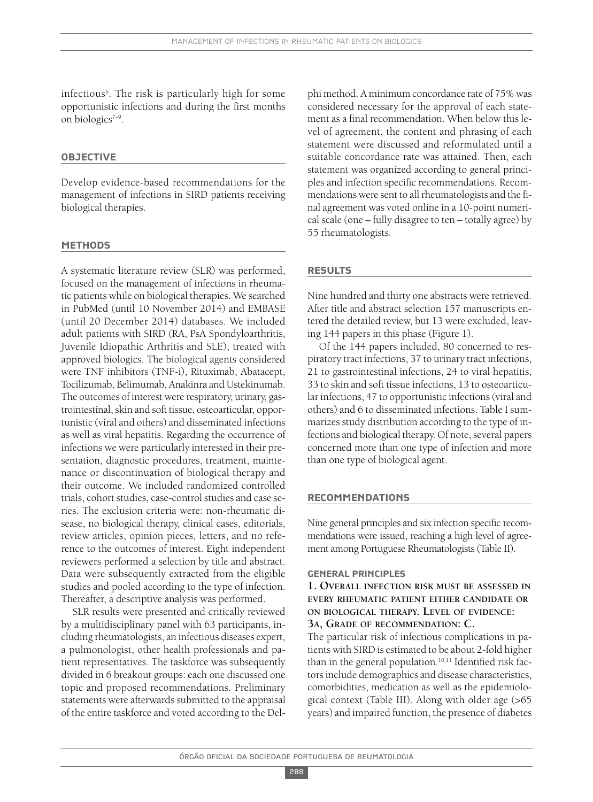infectious6 . The risk is particularly high for some opportunistic infections and during the first months on biologics7–9 .

### **objectIve**

Develop evidence-based recommendations for the management of infections in SIRD patients receiving biological therapies.

#### **methods**

A systematic literature review (SLR) was performed, focused on the management of infections in rheumatic patients while on biological therapies. We searched in PubMed (until 10 November 2014) and EMBASE (until 20 December 2014) databases. We included adult patients with SIRD (RA, PsA Spondyloarthritis, Juvenile Idiopathic Arthritis and SLE), treated with approved biologics. The biological agents considered were TNF inhibitors (TNF-i), Rituximab, Abatacept, Tocilizumab, Belimumab, Anakinra and Ustekinumab. The outcomes of interest were respiratory, urinary, gastrointestinal, skin and soft tissue, osteoarticular, opportunistic (viral and others) and disseminated infections as well as viral hepatitis. Regarding the occurrence of infections we were particularly interested in their presentation, diagnostic procedures, treatment, maintenance or discontinuation of biological therapy and their outcome. We included randomized controlled trials, cohort studies, case-control studies and case series. The exclusion criteria were: non-rheumatic disease, no biological therapy, clinical cases, editorials, review articles, opinion pieces, letters, and no reference to the outcomes of interest. Eight independent reviewers performed a selection by title and abstract. Data were subsequently extracted from the eligible studies and pooled according to the type of infection. Thereafter, a descriptive analysis was performed.

SLR results were presented and critically reviewed by a multidisciplinary panel with 63 participants, including rheumatologists, an infectious diseases expert, a pulmonologist, other health professionals and patient representatives. The taskforce was subsequently divided in 6 breakout groups: each one discussed one topic and proposed recommendations. Preliminary statements were afterwards submitted to the appraisal of the entire taskforce and voted according to the Del-

phi method. A minimum concordance rate of 75% was considered necessary for the approval of each statement as a final recommendation. When below this level of agreement, the content and phrasing of each statement were discussed and reformulated until a suitable concordance rate was attained. Then, each statement was organized according to general principles and infection specific recommendations. Recommendations were sent to all rheumatologists and the final agreement was voted online in a 10-point numerical scale (one – fully disagree to ten – totally agree) by 55 rheumatologists.

### **results**

Nine hundred and thirty one abstracts were retrieved. After title and abstract selection 157 manuscripts entered the detailed review, but 13 were excluded, leaving 144 papers in this phase (Figure 1).

Of the 144 papers included, 80 concerned to respiratory tract infections, 37 to urinary tract infections, 21 to gastrointestinal infections, 24 to viral hepatitis, 33 to skin and soft tissue infections, 13 to osteoarticular infections, 47 to opportunistic infections(viral and others) and 6 to disseminated infections. Table I summarizes study distribution according to the type of infections and biological therapy. Of note, several papers concerned more than one type of infection and more than one type of biological agent.

#### **recommendAtIons**

Nine general principles and six infection specific recommendations were issued, reaching a high level of agreement among Portuguese Rheumatologists (Table II).

### **GenerAl prIncIples**

**1. OVERALL INFECTION RISK MUST BE ASSESSED IN EVERY RHEUMATIC PATIENT EITHER CANDIDATE OR ON BIOLOGICAL THERAPY. LEVEL OF EVIDENCE: 3A, GRADE OF RECOMMENDATION: C.**

The particular risk of infectious complications in patients with SIRD is estimated to be about 2-fold higher than in the general population. 10,11 Identified risk factorsinclude demographics and disease characteristics, comorbidities, medication as well as the epidemiological context (Table III). Along with older age (>65 years) and impaired function, the presence of diabetes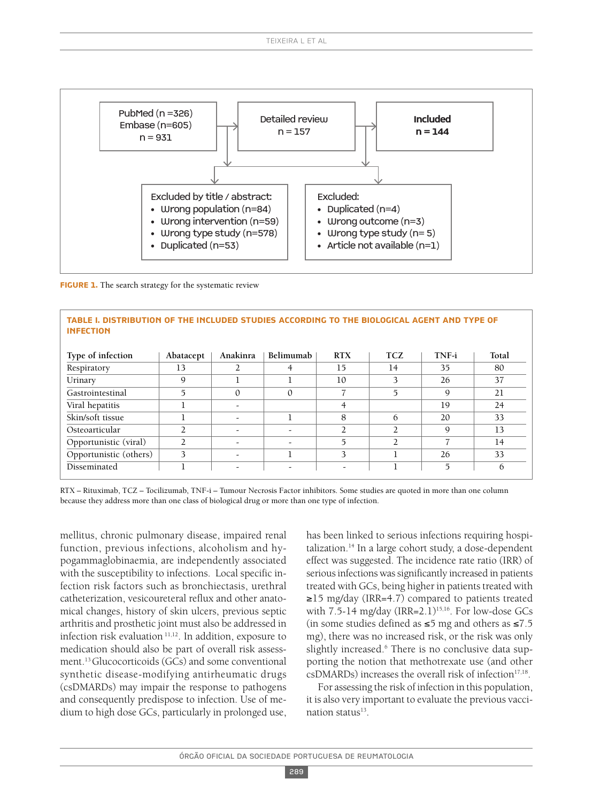

**FIGURE 1.** The search strategy for the systematic review

| TABLE I. DISTRIBUTION OF THE INCLUDED STUDIES ACCORDING TO THE BIOLOGICAL AGENT AND TYPE OF<br><b>INFECTION</b> |                |          |           |            |               |       |       |
|-----------------------------------------------------------------------------------------------------------------|----------------|----------|-----------|------------|---------------|-------|-------|
| Type of infection                                                                                               | Abatacept      | Anakinra | Belimumab | <b>RTX</b> | <b>TCZ</b>    | TNF-i | Total |
| Respiratory                                                                                                     | 13             |          | 4         | 15         | 14            | 35    | 80    |
| Urinary                                                                                                         | 9              |          |           | 10         | 3             | 26    | 37    |
| Gastrointestinal                                                                                                | 5              | $\Omega$ | $\Omega$  |            | 5             | 9     | 21    |
| Viral hepatitis                                                                                                 |                |          |           | 4          |               | 19    | 24    |
| Skin/soft tissue                                                                                                |                |          |           | 8          | 6             | 20    | 33    |
| Osteoarticular                                                                                                  |                |          |           | 2          | າ             | 9     | 13    |
| Opportunistic (viral)                                                                                           | $\mathfrak{D}$ | -        |           | 5          | $\mathcal{D}$ |       | 14    |
| Opportunistic (others)                                                                                          | 3              |          |           | 3          |               | 26    | 33    |

RTX – Rituximab, TCZ – Tocilizumab, TNF-i – Tumour Necrosis Factor inhibitors. Some studies are quoted in more than one column because they address more than one class of biological drug or more than one type of infection.

Disseminated 1 1 -  $\vert$  -  $\vert$  -  $\vert$  1 5 6

mellitus, chronic pulmonary disease, impaired renal function, previous infections, alcoholism and hypogammaglobinaemia, are independently associated with the susceptibility to infections. Local specific infection risk factors such as bronchiectasis, urethral catheterization, vesicoureteral reflux and other anatomical changes, history of skin ulcers, previous septic arthritis and prosthetic joint must also be addressed in infection risk evaluation 11,12 . In addition, exposure to medication should also be part of overall risk assessment. 13Glucocorticoids (GCs) and some conventional synthetic disease-modifying antirheumatic drugs (csDMARDs) may impair the response to pathogens and consequently predispose to infection. Use of medium to high dose GCs, particularly in prolonged use,

has been linked to serious infections requiring hospitalization. <sup>14</sup> In a large cohort study, a dose-dependent effect was suggested. The incidence rate ratio (IRR) of serious infections was significantly increased in patients treated with GCs, being higher in patients treated with ≥15 mg/day (IRR=4.7) compared to patients treated with 7.5-14 mg/day (IRR=2.1)<sup>15,16</sup>. For low-dose GCs (in some studies defined as ≤5 mg and others as ≤7.5 mg), there was no increased risk, or the risk was only slightly increased. <sup>6</sup> There is no conclusive data supporting the notion that methotrexate use (and other  $csDMARDs$ ) increases the overall risk of infection $17,18$ .

For assessing the risk of infection in this population, it is also very important to evaluate the previous vaccination status<sup>13</sup>.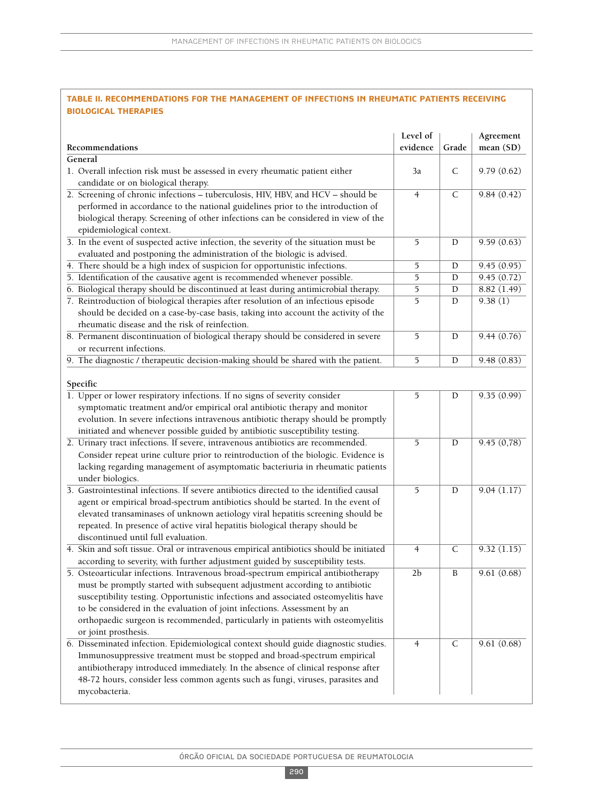### **tAble II. recommendAtIons for the mAnAGement of InfectIons In rheumAtIc pAtIents receIvInG bIoloGIcAl therApIes**

| Recommendations                                                                                                     | Level of<br>evidence | Grade        | Agreement<br>mean (SD) |
|---------------------------------------------------------------------------------------------------------------------|----------------------|--------------|------------------------|
| General                                                                                                             |                      |              |                        |
| 1. Overall infection risk must be assessed in every rheumatic patient either<br>candidate or on biological therapy. | 3a                   | C            | 9.79(0.62)             |
| 2. Screening of chronic infections - tuberculosis, HIV, HBV, and HCV - should be                                    | $\overline{4}$       | $\mathsf{C}$ | 9.84(0.42)             |
| performed in accordance to the national guidelines prior to the introduction of                                     |                      |              |                        |
| biological therapy. Screening of other infections can be considered in view of the                                  |                      |              |                        |
| epidemiological context.                                                                                            |                      |              |                        |
| 3. In the event of suspected active infection, the severity of the situation must be                                | 5                    | D            | 9.59(0.63)             |
| evaluated and postponing the administration of the biologic is advised.                                             |                      |              |                        |
| 4. There should be a high index of suspicion for opportunistic infections.                                          | 5                    | D            | 9.45(0.95)             |
|                                                                                                                     |                      |              |                        |
| 5. Identification of the causative agent is recommended whenever possible.                                          | 5                    | D            | 9.45(0.72)             |
| 6. Biological therapy should be discontinued at least during antimicrobial therapy.                                 | 5                    | D            | 8.82 (1.49)            |
| 7. Reintroduction of biological therapies after resolution of an infectious episode                                 | 5                    | D            | 9.38(1)                |
| should be decided on a case-by-case basis, taking into account the activity of the                                  |                      |              |                        |
| rheumatic disease and the risk of reinfection.                                                                      |                      |              |                        |
| 8. Permanent discontinuation of biological therapy should be considered in severe                                   | 5                    | D            | 9.44(0.76)             |
| or recurrent infections.                                                                                            |                      |              |                        |
| 9. The diagnostic / therapeutic decision-making should be shared with the patient.                                  | 5                    | D            | 9.48 (0.83)            |
| Specific                                                                                                            |                      |              |                        |
| 1. Upper or lower respiratory infections. If no signs of severity consider                                          | 5                    | D            | 9.35(0.99)             |
| symptomatic treatment and/or empirical oral antibiotic therapy and monitor                                          |                      |              |                        |
| evolution. In severe infections intravenous antibiotic therapy should be promptly                                   |                      |              |                        |
| initiated and whenever possible guided by antibiotic susceptibility testing.                                        |                      |              |                        |
| 2. Urinary tract infections. If severe, intravenous antibiotics are recommended.                                    | 5                    | D            | 9.45(0,78)             |
| Consider repeat urine culture prior to reintroduction of the biologic. Evidence is                                  |                      |              |                        |
| lacking regarding management of asymptomatic bacteriuria in rheumatic patients                                      |                      |              |                        |
| under biologics.                                                                                                    |                      |              |                        |
| 3. Gastrointestinal infections. If severe antibiotics directed to the identified causal                             | 5                    | D            | 9.04(1.17)             |
| agent or empirical broad-spectrum antibiotics should be started. In the event of                                    |                      |              |                        |
| elevated transaminases of unknown aetiology viral hepatitis screening should be                                     |                      |              |                        |
| repeated. In presence of active viral hepatitis biological therapy should be                                        |                      |              |                        |
| discontinued until full evaluation.                                                                                 |                      |              |                        |
| 4. Skin and soft tissue. Oral or intravenous empirical antibiotics should be initiated                              | $\overline{4}$       | $\mathsf{C}$ | 9.32(1.15)             |
| according to severity, with further adjustment guided by susceptibility tests.                                      |                      |              |                        |
| 5. Osteoarticular infections. Intravenous broad-spectrum empirical antibiotherapy                                   | 2 <sub>b</sub>       | B            | 9.61(0.68)             |
| must be promptly started with subsequent adjustment according to antibiotic                                         |                      |              |                        |
| susceptibility testing. Opportunistic infections and associated osteomyelitis have                                  |                      |              |                        |
| to be considered in the evaluation of joint infections. Assessment by an                                            |                      |              |                        |
| orthopaedic surgeon is recommended, particularly in patients with osteomyelitis                                     |                      |              |                        |
| or joint prosthesis.                                                                                                |                      |              |                        |
| 6. Disseminated infection. Epidemiological context should guide diagnostic studies.                                 | $\overline{4}$       | $\mathsf{C}$ | 9.61(0.68)             |
| Immunosuppressive treatment must be stopped and broad-spectrum empirical                                            |                      |              |                        |
|                                                                                                                     |                      |              |                        |
| antibiotherapy introduced immediately. In the absence of clinical response after                                    |                      |              |                        |
| 48-72 hours, consider less common agents such as fungi, viruses, parasites and                                      |                      |              |                        |
| mycobacteria.                                                                                                       |                      |              |                        |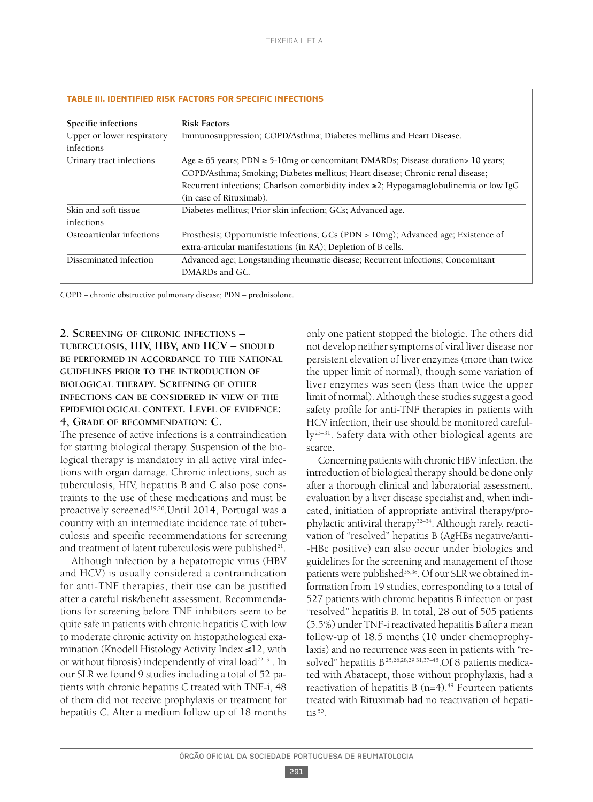|                            | <b>Risk Factors</b>                                                                        |
|----------------------------|--------------------------------------------------------------------------------------------|
| Specific infections        |                                                                                            |
| Upper or lower respiratory | Immunosuppression; COPD/Asthma; Diabetes mellitus and Heart Disease.                       |
| infections                 |                                                                                            |
| Urinary tract infections   | Age $\ge$ 65 years; PDN $\ge$ 5-10mg or concomitant DMARDs; Disease duration > 10 years;   |
|                            | COPD/Asthma; Smoking; Diabetes mellitus; Heart disease; Chronic renal disease;             |
|                            | Recurrent infections; Charlson comorbidity index $\geq$ 2; Hypogamaglobulinemia or low IgG |
|                            | (in case of Rituximab).                                                                    |
| Skin and soft tissue       | Diabetes mellitus; Prior skin infection; GCs; Advanced age.                                |
| infections                 |                                                                                            |
| Osteoarticular infections  | Prosthesis; Opportunistic infections; GCs (PDN > 10mg); Advanced age; Existence of         |
|                            | extra-articular manifestations (in RA); Depletion of B cells.                              |
| Disseminated infection     | Advanced age; Longstanding rheumatic disease; Recurrent infections; Concomitant            |
|                            | DMARDs and GC                                                                              |

#### **tAble III. IdentIfIed rIsk fActors for specIfIc InfectIons**

COPD – chronic obstructive pulmonary disease; PDN – prednisolone.

# **2. SCREENING OF CHRONIC INFECTIONS – TUBERCULOSIS, HIV, HBV, AND HCV – SHOULD BE PERFORMED IN ACCORDANCE TO THE NATIONAL GUIDELINES PRIOR TO THE INTRODUCTION OF BIOLOGICAL THERAPY. SCREENING OF OTHER INFECTIONS CAN BE CONSIDERED IN VIEW OF THE EPIDEMIOLOGICAL CONTEXT. LEVEL OF EVIDENCE: 4, GRADE OF RECOMMENDATION: C.**

The presence of active infections is a contraindication for starting biological therapy. Suspension of the biological therapy is mandatory in all active viral infections with organ damage. Chronic infections, such as tuberculosis, HIV, hepatitis B and C also pose constraints to the use of these medications and must be proactively screened<sup>19,20</sup>.Until 2014, Portugal was a country with an intermediate incidence rate of tuberculosis and specific recommendations for screening and treatment of latent tuberculosis were published $^{\scriptscriptstyle 21}$ .

Although infection by a hepatotropic virus (HBV and HCV) is usually considered a contraindication for anti-TNF therapies, their use can be justified after a careful risk/benefit assessment. Recommendations for screening before TNF inhibitors seem to be quite safe in patients with chronic hepatitis C with low to moderate chronic activity on histopathological examination (Knodell Histology Activity Index ≤12, with or without fibrosis) independently of viral load<sup>22-31</sup>. In our SLR we found 9 studies including a total of 52 patients with chronic hepatitis C treated with TNF-i, 48 of them did not receive prophylaxis or treatment for hepatitis C. After a medium follow up of 18 months only one patient stopped the biologic. The others did not develop neither symptoms of viral liver disease nor persistent elevation of liver enzymes (more than twice the upper limit of normal), though some variation of liver enzymes was seen (less than twice the upper limit of normal). Although these studies suggest a good safety profile for anti-TNF therapies in patients with HCV infection, their use should be monitored carefully23–31 . Safety data with other biological agents are scarce.

Concerning patients with chronic HBV infection, the introduction of biological therapy should be done only after a thorough clinical and laboratorial assessment, evaluation by a liver disease specialist and, when indicated, initiation of appropriate antiviral therapy/prophylactic antiviral therapy<sup>32–34</sup>. Although rarely, reactivation of "resolved" hepatitis B (AgHBs negative/anti- -HBc positive) can also occur under biologics and guidelines for the screening and management of those patients were published<sup>35,36</sup>. Of our SLR we obtained information from 19 studies, corresponding to a total of 527 patients with chronic hepatitis B infection or past "resolved" hepatitis B. In total, 28 out of 505 patients (5.5%) under TNF-i reactivated hepatitis B after a mean follow-up of 18.5 months (10 under chemoprophylaxis) and no recurrence was seen in patients with "resolved" hepatitis B25,26,28,29,31,37–48 .Of 8 patients medicated with Abatacept, those without prophylaxis, had a reactivation of hepatitis B (n=4). <sup>49</sup> Fourteen patients treated with Rituximab had no reactivation of hepatitis  $50$ .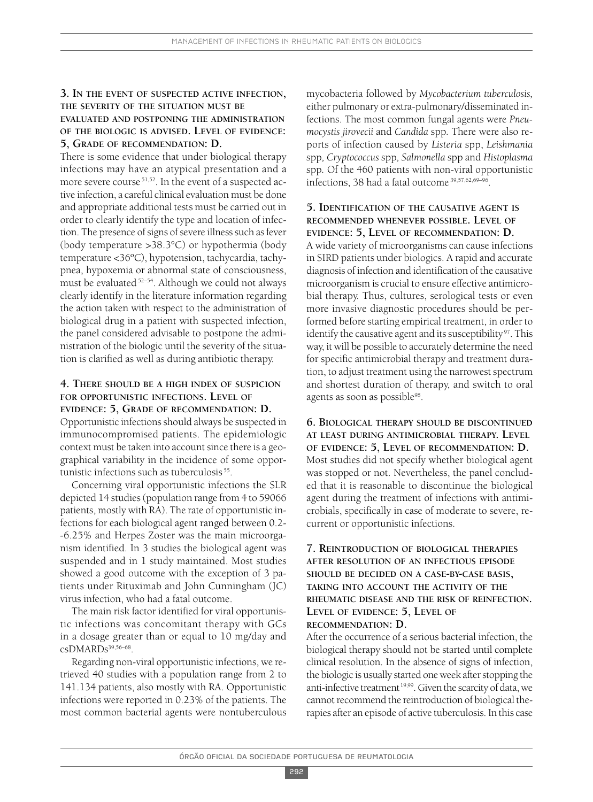# **3. IN THE EVENT OF SUSPECTED ACTIVE INFECTION, THE SEVERITY OF THE SITUATION MUST BE EVALUATED AND POSTPONING THE ADMINISTRATION OF THE BIOLOGIC IS ADVISED. LEVEL OF EVIDENCE: 5, GRADE OF RECOMMENDATION: D.**

There is some evidence that under biological therapy infections may have an atypical presentation and a more severe course 51,52 . In the event of a suspected active infection, a careful clinical evaluation must be done and appropriate additional tests must be carried out in order to clearly identify the type and location of infection. The presence of signs of severe illness such as fever (body temperature >38.3°C) or hypothermia (body temperature <36ºC), hypotension, tachycardia, tachypnea, hypoxemia or abnormal state of consciousness, must be evaluated <sup>52–54</sup>. Although we could not always clearly identify in the literature information regarding the action taken with respect to the administration of biological drug in a patient with suspected infection, the panel considered advisable to postpone the administration of the biologic until the severity of the situation is clarified as well as during antibiotic therapy.

### **4. THERE SHOULD BE A HIGH INDEX OF SUSPICION FOR OPPORTUNISTIC INFECTIONS. LEVEL OF EVIDENCE: 5, GRADE OF RECOMMENDATION: D.**

Opportunistic infectionsshould always be suspected in immunocompromised patients. The epidemiologic context must be taken into account since there is a geographical variability in the incidence of some opportunistic infections such as tuberculosis<sup>55</sup>.

Concerning viral opportunistic infections the SLR depicted 14 studies(population range from 4 to 59066 patients, mostly with RA). The rate of opportunistic infections for each biological agent ranged between 0.2- -6.25% and Herpes Zoster was the main microorganism identified. In 3 studies the biological agent was suspended and in 1 study maintained. Most studies showed a good outcome with the exception of 3 patients under Rituximab and John Cunningham (JC) virus infection, who had a fatal outcome.

The main risk factor identified for viral opportunistic infections was concomitant therapy with GCs in a dosage greater than or equal to 10 mg/day and  $c sDMARDs<sup>39,56–68</sup>$ .

Regarding non-viral opportunistic infections, we retrieved 40 studies with a population range from 2 to 141.134 patients, also mostly with RA. Opportunistic infections were reported in 0.23% of the patients. The most common bacterial agents were nontuberculous

mycobacteria followed by *Mycobacterium tuberculosis,* either pulmonary or extra-pulmonary/disseminated infections. The most common fungal agents were *Pneumocystis jirovecii* and *Candida* spp*.* There were also reports of infection caused by *Listeria* spp, *Leishmania* spp*, Cryptococcus* spp*, Salmonella* spp and *Histoplasma* spp*.* Of the 460 patients with non-viral opportunistic infections, 38 had a fatal outcome 39,57,62,69–96 .

### **5. IDENTIFICATION OF THE CAUSATIVE AGENT IS RECOMMENDED WHENEVER POSSIBLE. LEVEL OF EVIDENCE: 5, LEVEL OF RECOMMENDATION: D.**

A wide variety of microorganisms can cause infections in SIRD patients under biologics. A rapid and accurate diagnosis of infection and identification of the causative microorganism is crucial to ensure effective antimicrobial therapy. Thus, cultures, serological tests or even more invasive diagnostic procedures should be performed before starting empirical treatment, in order to identify the causative agent and its susceptibility  $\rm ^{97}$  . This way, it will be possible to accurately determine the need for specific antimicrobial therapy and treatment duration, to adjust treatment using the narrowest spectrum and shortest duration of therapy, and switch to oral agents as soon as possible<sup>98</sup>.

**6. BIOLOGICAL THERAPY SHOULD BE DISCONTINUED AT LEAST DURING ANTIMICROBIAL THERAPY. LEVEL OF EVIDENCE: 5, LEVEL OF RECOMMENDATION: D.** Most studies did not specify whether biological agent was stopped or not. Nevertheless, the panel concluded that it is reasonable to discontinue the biological agent during the treatment of infections with antimicrobials, specifically in case of moderate to severe, recurrent or opportunistic infections.

# **7. REINTRODUCTION OF BIOLOGICAL THERAPIES AFTER RESOLUTION OF AN INFECTIOUS EPISODE SHOULD BE DECIDED ON A CASE-BY-CASE BASIS, TAKING INTO ACCOUNT THE ACTIVITY OF THE RHEUMATIC DISEASE AND THE RISK OF REINFECTION. LEVEL OF EVIDENCE: 5, LEVEL OF RECOMMENDATION: D.**

After the occurrence of a serious bacterial infection, the biological therapy should not be started until complete clinical resolution. In the absence of signs of infection, the biologic is usually started one week after stopping the anti-infective treatment  $^{19,99}$ . Given the scarcity of data, we cannot recommend the reintroduction of biological therapies after an episode of active tuberculosis. In this case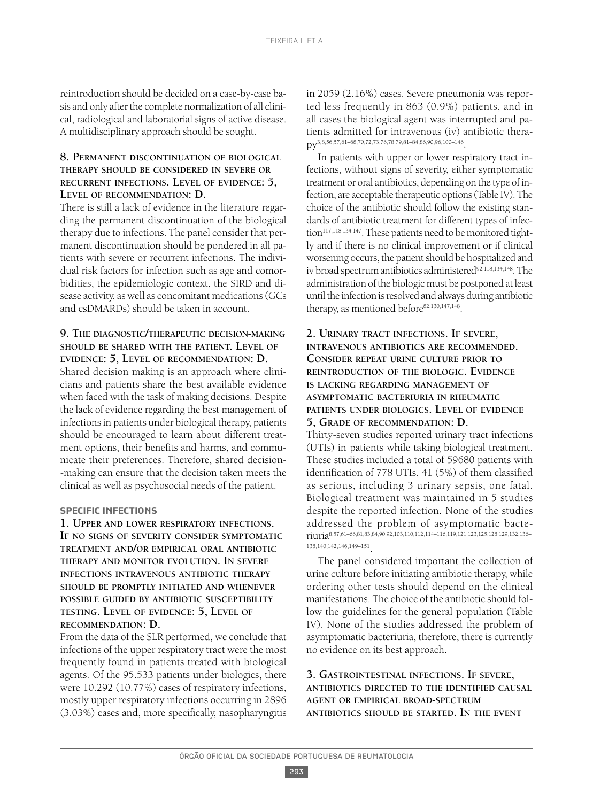reintroduction should be decided on a case-by-case basis and only after the complete normalization of all clinical, radiological and laboratorial signs of active disease. A multidisciplinary approach should be sought.

### **8. PERMANENT DISCONTINUATION OF BIOLOGICAL THERAPY SHOULD BE CONSIDERED IN SEVERE OR RECURRENT INFECTIONS. LEVEL OF EVIDENCE: 5, LEVEL OF RECOMMENDATION: D.**

There is still a lack of evidence in the literature regarding the permanent discontinuation of the biological therapy due to infections. The panel consider that permanent discontinuation should be pondered in all patients with severe or recurrent infections. The individual risk factors for infection such as age and comorbidities, the epidemiologic context, the SIRD and disease activity, as well as concomitant medications(GCs and csDMARDs) should be taken in account.

### **9. THE DIAGNOSTIC/THERAPEUTIC DECISION-MAKING SHOULD BE SHARED WITH THE PATIENT. LEVEL OF EVIDENCE: 5, LEVEL OF RECOMMENDATION: D.**

Shared decision making is an approach where clinicians and patients share the best available evidence when faced with the task of making decisions. Despite the lack of evidence regarding the best management of infections in patients under biological therapy, patients should be encouraged to learn about different treatment options, their benefits and harms, and communicate their preferences. Therefore, shared decision- -making can ensure that the decision taken meets the clinical as well as psychosocial needs of the patient.

### **specIfIc InfectIons**

**1. UPPER AND LOWER RESPIRATORY INFECTIONS. IF NO SIGNS OF SEVERITY CONSIDER SYMPTOMATIC TREATMENT AND/OR EMPIRICAL ORAL ANTIBIOTIC THERAPY AND MONITOR EVOLUTION. IN SEVERE INFECTIONS INTRAVENOUS ANTIBIOTIC THERAPY SHOULD BE PROMPTLY INITIATED AND WHENEVER POSSIBLE GUIDED BY ANTIBIOTIC SUSCEPTIBILITY TESTING. LEVEL OF EVIDENCE: 5, LEVEL OF RECOMMENDATION: D.**

From the data of the SLR performed, we conclude that infections of the upper respiratory tract were the most frequently found in patients treated with biological agents. Of the 95.533 patients under biologics, there were 10.292 (10.77%) cases of respiratory infections, mostly upper respiratory infections occurring in 2896 (3.03%) cases and, more specifically, nasopharyngitis

in 2059 (2.16%) cases. Severe pneumonia was reported less frequently in 863 (0.9%) patients, and in all cases the biological agent was interrupted and patients admitted for intravenous (iv) antibiotic therapy3,8,56,57,61–68,70,72,73,76,78,79,81–84,86,90,96,100–146 .

In patients with upper or lower respiratory tract infections, without signs of severity, either symptomatic treatment or oral antibiotics, depending on the type of infection, are acceptable therapeutic options (Table IV). The choice of the antibiotic should follow the existing standards of antibiotic treatment for different types of infection<sup>117,118,134,147</sup>. These patients need to be monitored tightly and if there is no clinical improvement or if clinical worsening occurs, the patient should be hospitalized and iv broad spectrum antibiotics administered<sup>92,118,134,148</sup>. The administration of the biologic must be postponed at least until the infection is resolved and always during antibiotic therapy, as mentioned before<sup>82,130,147,148</sup>.

# **2. URINARY TRACT INFECTIONS. IF SEVERE, INTRAVENOUS ANTIBIOTICS ARE RECOMMENDED. CONSIDER REPEAT URINE CULTURE PRIOR TO REINTRODUCTION OF THE BIOLOGIC. EVIDENCE IS LACKING REGARDING MANAGEMENT OF ASYMPTOMATIC BACTERIURIA IN RHEUMATIC PATIENTS UNDER BIOLOGICS. LEVEL OF EVIDENCE 5, GRADE OF RECOMMENDATION: D.**

Thirty-seven studies reported urinary tract infections (UTIs) in patients while taking biological treatment. These studies included a total of 59680 patients with identification of 778 UTIs, 41 (5%) of them classified as serious, including 3 urinary sepsis, one fatal. Biological treatment was maintained in 5 studies despite the reported infection. None of the studies addressed the problem of asymptomatic bacteriuria8,57,61–66,81,83,84,90,92,103,110,112,114–116,119,121,123,125,128,129,132,136– 138,140,142,146,149–151 .

The panel considered important the collection of urine culture before initiating antibiotic therapy, while ordering other tests should depend on the clinical manifestations. The choice of the antibiotic should follow the guidelines for the general population (Table IV). None of the studies addressed the problem of asymptomatic bacteriuria, therefore, there is currently no evidence on its best approach.

# **3. GASTROINTESTINAL INFECTIONS. IF SEVERE, ANTIBIOTICS DIRECTED TO THE IDENTIFIED CAUSAL AGENT OR EMPIRICAL BROAD-SPECTRUM ANTIBIOTICS SHOULD BE STARTED. IN THE EVENT**

293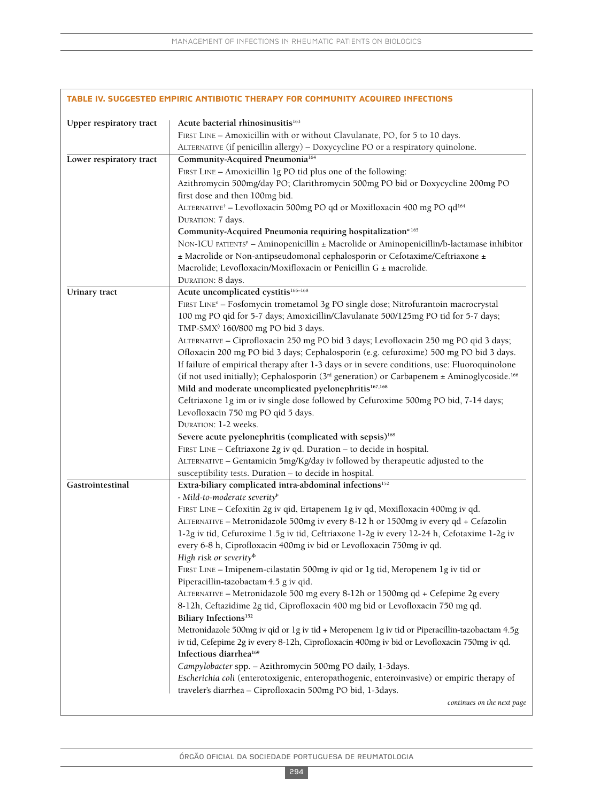|                         | TABLE IV. SUGGESTED EMPIRIC ANTIBIOTIC THERAPY FOR COMMUNITY ACQUIRED INFECTIONS                                               |
|-------------------------|--------------------------------------------------------------------------------------------------------------------------------|
| Upper respiratory tract | Acute bacterial rhinosinusitis <sup>163</sup>                                                                                  |
|                         | FIRST LINE - Amoxicillin with or without Clavulanate, PO, for 5 to 10 days.                                                    |
|                         | ALTERNATIVE (if penicillin allergy) - Doxycycline PO or a respiratory quinolone.                                               |
| Lower respiratory tract | Community-Acquired Pneumonia <sup>164</sup>                                                                                    |
|                         | FIRST LINE - Amoxicillin 1g PO tid plus one of the following:                                                                  |
|                         | Azithromycin 500mg/day PO; Clarithromycin 500mg PO bid or Doxycycline 200mg PO                                                 |
|                         | first dose and then 100mg bid.                                                                                                 |
|                         | ALTERNATIVE <sup>†</sup> - Levofloxacin 500mg PO qd or Moxifloxacin 400 mg PO qd <sup>164</sup>                                |
|                         | DURATION: 7 days.                                                                                                              |
|                         | Community-Acquired Pneumonia requiring hospitalization <sup>o 165</sup>                                                        |
|                         | NON-ICU PATIENTS <sup>H</sup> - Aminopenicillin ± Macrolide or Aminopenicillin/b-lactamase inhibitor                           |
|                         | ± Macrolide or Non-antipseudomonal cephalosporin or Cefotaxime/Ceftriaxone ±                                                   |
|                         | Macrolide; Levofloxacin/Moxifloxacin or Penicillin G ± macrolide.                                                              |
|                         | DURATION: 8 days.                                                                                                              |
| Urinary tract           | Acute uncomplicated cystitis <sup>166-168</sup>                                                                                |
|                         | FIRST LINE <sup>°</sup> - Fosfomycin trometamol 3g PO single dose; Nitrofurantoin macrocrystal                                 |
|                         | 100 mg PO qid for 5-7 days; Amoxicillin/Clavulanate 500/125mg PO tid for 5-7 days;                                             |
|                         | TMP-SMX <sup>0</sup> 160/800 mg PO bid 3 days.                                                                                 |
|                         | ALTERNATIVE - Ciprofloxacin 250 mg PO bid 3 days; Levofloxacin 250 mg PO qid 3 days;                                           |
|                         | Ofloxacin 200 mg PO bid 3 days; Cephalosporin (e.g. cefuroxime) 500 mg PO bid 3 days.                                          |
|                         | If failure of empirical therapy after 1-3 days or in severe conditions, use: Fluoroquinolone                                   |
|                         | (if not used initially); Cephalosporin (3 <sup>rd</sup> generation) or Carbapenem ± Aminoglycoside. <sup>166</sup>             |
|                         | Mild and moderate uncomplicated pyelonephritis <sup>167,168</sup>                                                              |
|                         | Ceftriaxone 1g im or iv single dose followed by Cefuroxime 500mg PO bid, 7-14 days;                                            |
|                         | Levofloxacin 750 mg PO qid 5 days.                                                                                             |
|                         | DURATION: 1-2 weeks.                                                                                                           |
|                         | Severe acute pyelonephritis (complicated with sepsis) <sup>168</sup>                                                           |
|                         | FIRST LINE - Ceftriaxone 2g iv qd. Duration - to decide in hospital.                                                           |
|                         | ALTERNATIVE - Gentamicin 5mg/Kg/day iv followed by therapeutic adjusted to the                                                 |
| Gastrointestinal        | susceptibility tests. Duration - to decide in hospital.<br>Extra-biliary complicated intra-abdominal infections <sup>152</sup> |
|                         | - Mild-to-moderate severity <sup>+</sup>                                                                                       |
|                         | FIRST LINE - Cefoxitin 2g iv qid, Ertapenem 1g iv qd, Moxifloxacin 400mg iv qd.                                                |
|                         | ALTERNATIVE - Metronidazole 500mg iv every 8-12 h or 1500mg iv every qd + Cefazolin                                            |
|                         | 1-2g iv tid, Cefuroxime 1.5g iv tid, Ceftriaxone 1-2g iv every 12-24 h, Cefotaxime 1-2g iv                                     |
|                         | every 6-8 h, Ciprofloxacin 400mg iv bid or Levofloxacin 750mg iv qd.                                                           |
|                         | High risk or severity <sup>¢</sup>                                                                                             |
|                         | FIRST LINE - Imipenem-cilastatin 500mg iv qid or 1g tid, Meropenem 1g iv tid or                                                |
|                         | Piperacillin-tazobactam 4.5 g iv qid.                                                                                          |
|                         | ALTERNATIVE - Metronidazole 500 mg every 8-12h or 1500mg qd + Cefepime 2g every                                                |
|                         | 8-12h, Ceftazidime 2g tid, Ciprofloxacin 400 mg bid or Levofloxacin 750 mg qd.                                                 |
|                         | Biliary Infections <sup>152</sup>                                                                                              |
|                         | Metronidazole 500mg iv qid or 1g iv tid + Meropenem 1g iv tid or Piperacillin-tazobactam 4.5g                                  |
|                         | iv tid, Cefepime 2g iv every 8-12h, Ciprofloxacin 400mg iv bid or Levofloxacin 750mg iv qd.                                    |
|                         | Infectious diarrhea <sup>169</sup>                                                                                             |
|                         | Campylobacter spp. - Azithromycin 500mg PO daily, 1-3days.                                                                     |
|                         | Escherichia coli (enterotoxigenic, enteropathogenic, enteroinvasive) or empiric therapy of                                     |
|                         | traveler's diarrhea - Ciprofloxacin 500mg PO bid, 1-3days.                                                                     |
|                         | continues on the next page                                                                                                     |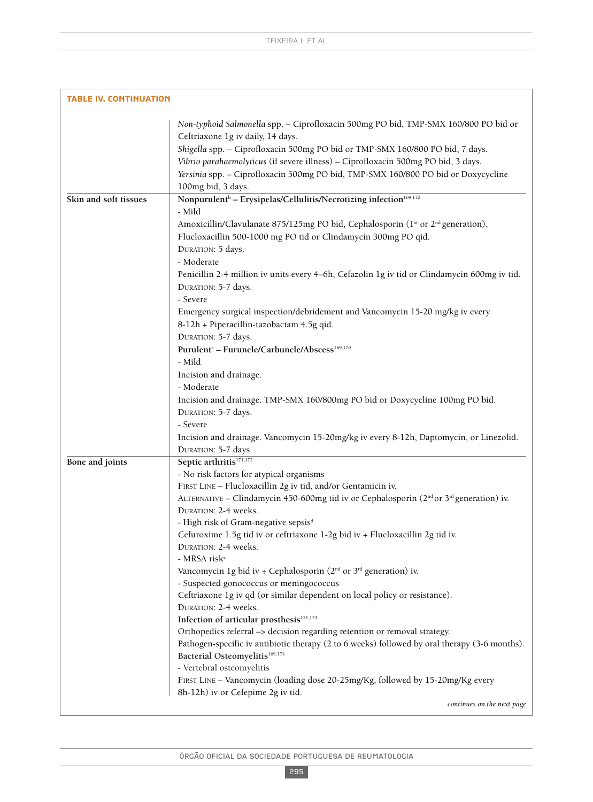| <b>TABLE IV. CONTINUATION</b> |                                                                                                                                                                                                                                                                                                                                                                                                                                                                                                                                                                                                                                                                                                                                                                                                                                                                                                                                                                                                                                                                                                                                                                                     |
|-------------------------------|-------------------------------------------------------------------------------------------------------------------------------------------------------------------------------------------------------------------------------------------------------------------------------------------------------------------------------------------------------------------------------------------------------------------------------------------------------------------------------------------------------------------------------------------------------------------------------------------------------------------------------------------------------------------------------------------------------------------------------------------------------------------------------------------------------------------------------------------------------------------------------------------------------------------------------------------------------------------------------------------------------------------------------------------------------------------------------------------------------------------------------------------------------------------------------------|
|                               | Non-typhoid Salmonella spp. - Ciprofloxacin 500mg PO bid, TMP-SMX 160/800 PO bid or<br>Ceftriaxone 1g iv daily, 14 days.<br>Shigella spp. - Ciprofloxacin 500mg PO bid or TMP-SMX 160/800 PO bid, 7 days.<br>Vibrio parahaemolyticus (if severe illness) - Ciprofloxacin 500mg PO bid, 3 days.<br>Yersinia spp. - Ciprofloxacin 500mg PO bid, TMP-SMX 160/800 PO bid or Doxycycline<br>100mg bid, 3 days.                                                                                                                                                                                                                                                                                                                                                                                                                                                                                                                                                                                                                                                                                                                                                                           |
| Skin and soft tissues         | Nonpurulent <sup>b</sup> - Erysipelas/Cellulitis/Necrotizing infection <sup>169,170</sup><br>- Mild<br>Amoxicillin/Clavulanate 875/125mg PO bid, Cephalosporin (1st or 2 <sup>nd</sup> generation),<br>Flucloxacillin 500-1000 mg PO tid or Clindamycin 300mg PO qid.<br>DURATION: 5 days.<br>- Moderate<br>Penicillin 2-4 million iv units every 4-6h, Cefazolin 1g iv tid or Clindamycin 600mg iv tid.<br>DURATION: 5-7 days.<br>- Severe<br>Emergency surgical inspection/debridement and Vancomycin 15-20 mg/kg iv every<br>8-12h + Piperacillin-tazobactam 4.5g qid.<br>DURATION: 5-7 days.<br>Purulent <sup>c</sup> - Furuncle/Carbuncle/Abscess <sup>169,170</sup><br>- Mild<br>Incision and drainage.<br>- Moderate                                                                                                                                                                                                                                                                                                                                                                                                                                                         |
|                               | Incision and drainage. TMP-SMX 160/800mg PO bid or Doxycycline 100mg PO bid.<br>DURATION: 5-7 days.<br>- Severe<br>Incision and drainage. Vancomycin 15-20mg/kg iv every 8-12h, Daptomycin, or Linezolid.<br>DURATION: 5-7 days.                                                                                                                                                                                                                                                                                                                                                                                                                                                                                                                                                                                                                                                                                                                                                                                                                                                                                                                                                    |
| Bone and joints               | Septic arthritis <sup>171,172</sup><br>- No risk factors for atypical organisms<br>FIRST LINE - Flucloxacillin 2g iv tid, and/or Gentamicin iv.<br>ALTERNATIVE - Clindamycin 450-600mg tid iv or Cephalosporin (2 <sup>nd</sup> or 3 <sup>rd</sup> generation) iv.<br>DURATION: 2-4 weeks.<br>- High risk of Gram-negative sepsis <sup>d</sup><br>Cefuroxime 1.5g tid iv or ceftriaxone 1-2g bid iv + Flucloxacillin 2g tid iv.<br>DURATION: 2-4 weeks.<br>- MRSA risk <sup>e</sup><br>Vancomycin 1g bid iv + Cephalosporin ( $2nd$ or $3rd$ generation) iv.<br>- Suspected gonococcus or meningococcus<br>Ceftriaxone 1g iv qd (or similar dependent on local policy or resistance).<br>DURATION: 2-4 weeks.<br>Infection of articular prosthesis <sup>171,173</sup><br>Orthopedics referral -> decision regarding retention or removal strategy.<br>Pathogen-specific iv antibiotic therapy (2 to 6 weeks) followed by oral therapy (3-6 months).<br>Bacterial Osteomyelitis <sup>169,174</sup><br>- Vertebral osteomyelitis<br>FIRST LINE - Vancomycin (loading dose 20-25mg/Kg, followed by 15-20mg/Kg every<br>8h-12h) iv or Cefepime 2g iv tid.<br>continues on the next page |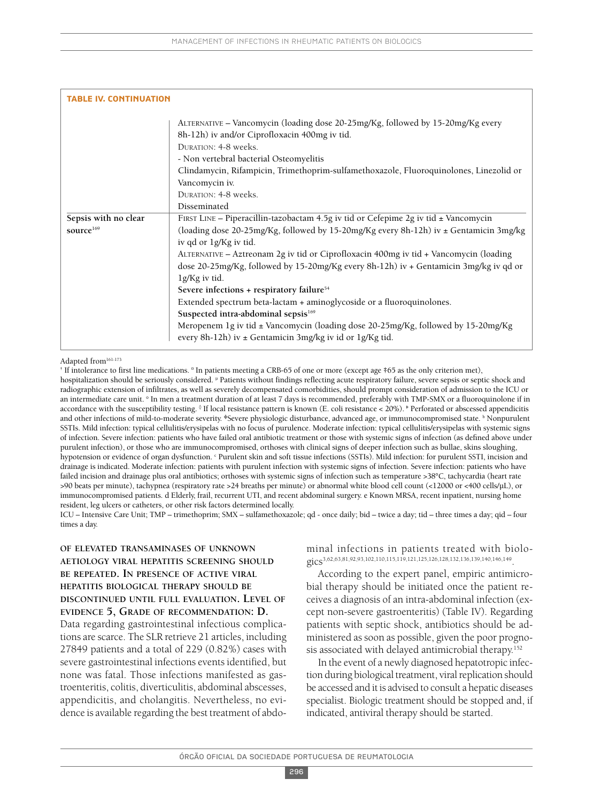| <b>TABLE IV. CONTINUATION</b> |                                                                                                                                                                                                                                                                                                                                                                       |
|-------------------------------|-----------------------------------------------------------------------------------------------------------------------------------------------------------------------------------------------------------------------------------------------------------------------------------------------------------------------------------------------------------------------|
|                               | ALTERNATIVE – Vancomycin (loading dose 20-25mg/Kg, followed by 15-20mg/Kg every<br>8h-12h) iv and/or Ciprofloxacin 400mg iv tid.<br><b>DURATION: 4-8 weeks.</b><br>- Non vertebral bacterial Osteomyelitis<br>Clindamycin, Rifampicin, Trimethoprim-sulfamethoxazole, Fluoroquinolones, Linezolid or<br>Vancomycin iv.<br><b>DURATION: 4-8 weeks.</b><br>Disseminated |
| Sepsis with no clear          | FIRST LINE - Piperacillin-tazobactam 4.5g iv tid or Cefepime 2g iv tid $\pm$ Vancomycin                                                                                                                                                                                                                                                                               |
| source <sup>169</sup>         | (loading dose 20-25mg/Kg, followed by 15-20mg/Kg every 8h-12h) iv $\pm$ Gentamicin 3mg/kg<br>iv qd or 1g/Kg iv tid.                                                                                                                                                                                                                                                   |
|                               | ALTERNATIVE – Aztreonam 2g iv tid or Ciprofloxacin 400mg iv tid + Vancomycin (loading                                                                                                                                                                                                                                                                                 |
|                               | dose 20-25mg/Kg, followed by 15-20mg/Kg every 8h-12h) iv + Gentamicin 3mg/kg iv qd or                                                                                                                                                                                                                                                                                 |
|                               | lg/Kg iv tid.                                                                                                                                                                                                                                                                                                                                                         |
|                               | Severe infections + respiratory failure <sup>54</sup>                                                                                                                                                                                                                                                                                                                 |
|                               | Extended spectrum beta-lactam + aminoglycoside or a fluoroquinolones.                                                                                                                                                                                                                                                                                                 |
|                               | Suspected intra-abdominal sepsis <sup>169</sup>                                                                                                                                                                                                                                                                                                                       |
|                               | Meropenem 1g iv tid ± Vancomycin (loading dose 20-25mg/Kg, followed by 15-20mg/Kg<br>every 8h-12h) iv $\pm$ Gentamicin 3mg/kg iv id or 1g/Kg tid.                                                                                                                                                                                                                     |

#### Adapted from<sup>161-173</sup>

† If intolerance to first line medications. ¤ In patients meeting a CRB-65 of one or more (except age ‡65 as the only criterion met),

hospitalization should be seriously considered. <sup>µ</sup> Patients without findings reflecting acute respiratory failure, severe sepsis or septic shock and radiographic extension of infiltrates, as well as severely decompensated comorbidities, should prompt consideration of admission to the ICU or an intermediate care unit. **○** In men a treatment duration of at least 7 days is recommended, preferably with TMP-SMX or a fluoroquinolone if in accordance with the susceptibility testing. <sup>§</sup> If local resistance pattern is known (E. coli resistance < 20%). *Perforated or abscessed appendicitis* and other infections of mild-to-moderate severity. <sup>Φ</sup>Severe physiologic disturbance, advanced age, or immunocompromised state. <sup>b</sup> Nonpurulent SSTIs. Mild infection: typical cellulitis/erysipelas with no focus of purulence. Moderate infection: typical cellulitis/erysipelas with systemic signs of infection. Severe infection: patients who have failed oral antibiotic treatment or those with systemic signs of infection (as defined above under purulent infection), or those who are immunocompromised, orthoses with clinical signs of deeper infection such as bullae, skins sloughing, hypotension or evidence of organ dysfunction. Purulent skin and soft tissue infections (SSTIs). Mild infection: for purulent SSTI, incision and drainage is indicated. Moderate infection: patients with purulent infection with systemic signs of infection. Severe infection: patients who have failed incision and drainage plus oral antibiotics; orthoses with systemic signs of infection such as temperature >38°C, tachycardia (heart rate >90 beats per minute), tachypnea (respiratory rate >24 breaths per minute) or abnormal white blood cell count (<12000 or <400 cells/µL), or immunocompromised patients. d Elderly, frail, recurrent UTI, and recent abdominal surgery. e Known MRSA, recent inpatient, nursing home resident, leg ulcers or catheters, or other risk factors determined locally.

ICU – Intensive Care Unit; TMP – trimethoprim; SMX – sulfamethoxazole; qd - once daily; bid – twice a day; tid – three times a day; qid – four times a day.

# **OF ELEVATED TRANSAMINASES OF UNKNOWN AETIOLOGY VIRAL HEPATITIS SCREENING SHOULD BE REPEATED. IN PRESENCE OF ACTIVE VIRAL HEPATITIS BIOLOGICAL THERAPY SHOULD BE DISCONTINUED UNTIL FULL EVALUATION. LEVEL OF EVIDENCE 5, GRADE OF RECOMMENDATION: D.**

Data regarding gastrointestinal infectious complications are scarce. The SLR retrieve 21 articles, including 27849 patients and a total of 229 (0.82%) cases with severe gastrointestinal infections events identified, but none was fatal. Those infections manifested as gastroenteritis, colitis, diverticulitis, abdominal abscesses, appendicitis, and cholangitis. Nevertheless, no evidence is available regarding the best treatment of abdominal infections in patients treated with biologics<sup>3,62,63,81,92,93,102,110,115,119,121,125,126,128,132,136,139,140,146,149</sup>.

According to the expert panel, empiric antimicrobial therapy should be initiated once the patient receives a diagnosis of an intra-abdominal infection (except non-severe gastroenteritis) (Table IV). Regarding patients with septic shock, antibiotics should be administered as soon as possible, given the poor prognosis associated with delayed antimicrobial therapy. 152

In the event of a newly diagnosed hepatotropic infection during biological treatment, viral replication should be accessed and it is advised to consult a hepatic diseases specialist. Biologic treatment should be stopped and, if indicated, antiviral therapy should be started.

296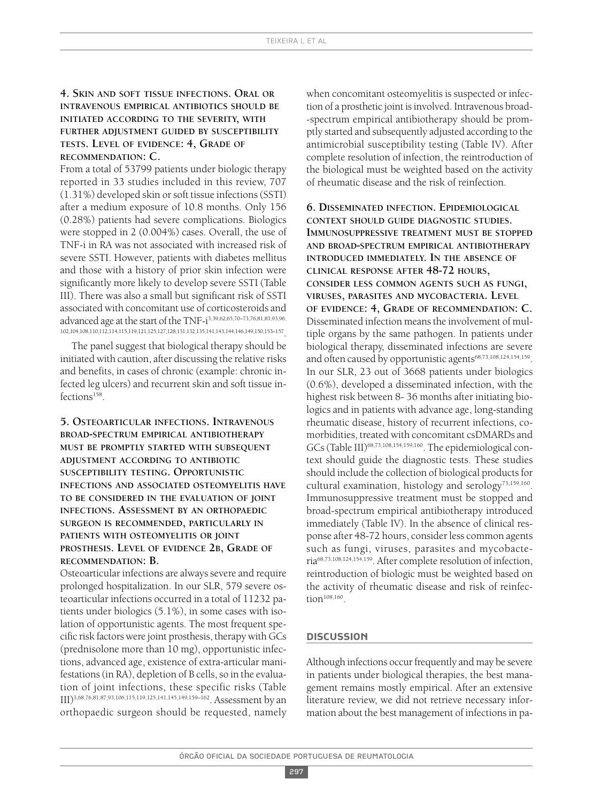# **4. SKIN AND SOFT TISSUE INFECTIONS. ORAL OR INTRAVENOUS EMPIRICAL ANTIBIOTICS SHOULD BE INITIATED ACCORDING TO THE SEVERITY, WITH FURTHER ADJUSTMENT GUIDED BY SUSCEPTIBILITY TESTS. LEVEL OF EVIDENCE: 4, GRADE OF RECOMMENDATION: C.**

From a total of 53799 patients under biologic therapy reported in 33 studies included in this review, 707 (1.31%) developed skin or soft tissue infections (SSTI) after a medium exposure of 10.8 months. Only 156 (0.28%) patients had severe complications. Biologics were stopped in 2 (0.004%) cases. Overall, the use of TNF-i in RA was not associated with increased risk of severe SSTI. However, patients with diabetes mellitus and those with a history of prior skin infection were significantly more likely to develop severe SSTI (Table III). There was also a small but significant risk of SSTI associated with concomitant use of corticosteroids and advanced age at the start of the TNF-i 3,39,62,65,70–73,76,81,83,93,96, 102,104,108,110,112,114,115,119,121,125,127,128,131,132,135,141,143,144,146,149,150,153–157 .

The panel suggest that biological therapy should be initiated with caution, after discussing the relative risks and benefits, in cases of chronic (example: chronic infected leg ulcers) and recurrent skin and soft tissue infections<sup>158</sup>.

**5. OSTEOARTICULAR INFECTIONS. INTRAVENOUS BROAD-SPECTRUM EMPIRICAL ANTIBIOTHERAPY MUST BE PROMPTLY STARTED WITH SUBSEQUENT ADJUSTMENT ACCORDING TO ANTIBIOTIC SUSCEPTIBILITY TESTING. OPPORTUNISTIC INFECTIONS AND ASSOCIATED OSTEOMYELITIS HAVE TO BE CONSIDERED IN THE EVALUATION OF JOINT INFECTIONS. ASSESSMENT BY AN ORTHOPAEDIC SURGEON IS RECOMMENDED, PARTICULARLY IN PATIENTS WITH OSTEOMYELITIS OR JOINT PROSTHESIS. LEVEL OF EVIDENCE 2B, GRADE OF RECOMMENDATION: B.**

Osteoarticular infections are always severe and require prolonged hospitalization. In our SLR, 579 severe osteoarticular infections occurred in a total of 11232 patients under biologics (5.1%), in some cases with isolation of opportunistic agents. The most frequent specific risk factors were joint prosthesis, therapy with GCs (prednisolone more than 10 mg), opportunistic infections, advanced age, existence of extra-articular manifestations (in RA), depletion of B cells, so in the evaluation of joint infections, these specific risks (Table III) 3,68,76,81,87,93,106,115,119,125,141,145,149,159–162 . Assessment by an orthopaedic surgeon should be requested, namely when concomitant osteomyelitis is suspected or infection of a prosthetic joint isinvolved. Intravenous broad- -spectrum empirical antibiotherapy should be promptly started and subsequently adjusted according to the antimicrobial susceptibility testing (Table IV). After complete resolution of infection, the reintroduction of the biological must be weighted based on the activity of rheumatic disease and the risk of reinfection.

**6. DISSEMINATED INFECTION. EPIDEMIOLOGICAL CONTEXT SHOULD GUIDE DIAGNOSTIC STUDIES. IMMUNOSUPPRESSIVE TREATMENT MUST BE STOPPED AND BROAD-SPECTRUM EMPIRICAL ANTIBIOTHERAPY INTRODUCED IMMEDIATELY. IN THE ABSENCE OF CLINICAL RESPONSE AFTER 48-72 HOURS, CONSIDER LESS COMMON AGENTS SUCH AS FUNGI, VIRUSES, PARASITES AND MYCOBACTERIA. LEVEL OF EVIDENCE: 4, GRADE OF RECOMMENDATION: C.** Disseminated infection meansthe involvement of multiple organs by the same pathogen. In patients under biological therapy, disseminated infections are severe and often caused by opportunistic agents<sup>68,73,108,124,154,159</sup>. In our SLR, 23 out of 3668 patients under biologics (0.6%), developed a disseminated infection, with the highest risk between 8- 36 months after initiating biologics and in patients with advance age, long-standing rheumatic disease, history of recurrent infections, comorbidities, treated with concomitant csDMARDs and GCs (Table III)<sup>68,73,108,154,159,160</sup>. The epidemiological context should guide the diagnostic tests. These studies should include the collection of biological products for cultural examination, histology and serology<sup>73,159,160</sup>. Immunosuppressive treatment must be stopped and broad-spectrum empirical antibiotherapy introduced immediately (Table IV). In the absence of clinical response after 48-72 hours, consider less common agents such as fungi, viruses, parasites and mycobacteria68,73,108,124,154,159 . After complete resolution of infection, reintroduction of biologic must be weighted based on the activity of rheumatic disease and risk of reinfection<sup> $108,160$ </sup>.

### **dIscussIon**

Although infections occur frequently and may be severe in patients under biological therapies, the best management remains mostly empirical. After an extensive literature review, we did not retrieve necessary information about the best management of infections in pa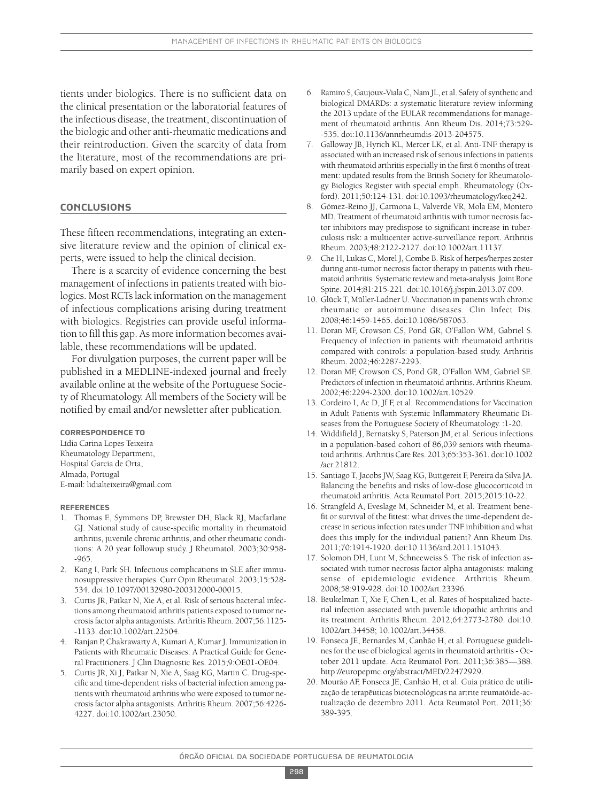tients under biologics. There is no sufficient data on the clinical presentation or the laboratorial features of the infectious disease, the treatment, discontinuation of the biologic and other anti-rheumatic medications and their reintroduction. Given the scarcity of data from the literature, most of the recommendations are primarily based on expert opinion.

### **conclusIons**

These fifteen recommendations, integrating an extensive literature review and the opinion of clinical experts, were issued to help the clinical decision.

There is a scarcity of evidence concerning the best management of infections in patients treated with biologics. Most RCTslack information on the management of infectious complications arising during treatment with biologics. Registries can provide useful information to fill this gap. As more information becomes available, these recommendations will be updated.

For divulgation purposes, the current paper will be published in a MEDLINE-indexed journal and freely available online at the website of the Portuguese Society of Rheumatology. All members of the Society will be notified by email and/or newsletter after publication.

#### **correspondence to**

Lídia Carina Lopes Teixeira Rheumatology Department, Hospital Garcia de Orta, Almada, Portugal E-mail: lidialteixeira@gmail.com

#### **references**

- 1. Thomas E, Symmons DP, Brewster DH, Black RJ, Macfarlane GJ. National study of cause-specific mortality in rheumatoid arthritis, juvenile chronic arthritis, and other rheumatic conditions: A 20 year followup study. J Rheumatol. 2003;30:958- -965.
- 2. Kang I, Park SH. Infectious complications in SLE after immunosuppressive therapies. Curr Opin Rheumatol. 2003;15:528- 534. doi:10.1097/00132980-200312000-00015.
- 3. Curtis JR, Patkar N, Xie A, et al. Risk of serious bacterial infections among rheumatoid arthritis patients exposed to tumor necrosisfactor alpha antagonists. Arthritis Rheum. 2007;56:1125- -1133. doi:10.1002/art.22504.
- 4. Ranjan P, Chakrawarty A, Kumari A, Kumar J. Immunization in Patients with Rheumatic Diseases: A Practical Guide for General Practitioners. J Clin Diagnostic Res. 2015;9:OE01-OE04.
- 5. Curtis JR, Xi J, Patkar N, Xie A, Saag KG, Martin C. Drug-specific and time-dependent risks of bacterial infection among patients with rheumatoid arthritis who were exposed to tumor necrosisfactor alpha antagonists. Arthritis Rheum. 2007;56:4226- 4227. doi:10.1002/art.23050.
- 6. Ramiro S, Gaujoux-Viala C, Nam JL, et al. Safety of synthetic and biological DMARDs: a systematic literature review informing the 2013 update of the EULAR recommendations for management of rheumatoid arthritis. Ann Rheum Dis. 2014;73:529- -535. doi:10.1136/annrheumdis-2013-204575.
- 7. Galloway JB, Hyrich KL, Mercer LK, et al. Anti-TNF therapy is associated with an increased risk of serious infections in patients with rheumatoid arthritis especially in the first 6 months of treatment: updated results from the British Society for Rheumatology Biologics Register with special emph. Rheumatology (Oxford). 2011;50:124-131. doi:10.1093/rheumatology/keq242.
- 8. Gómez-Reino JJ, Carmona L, Valverde VR, Mola EM, Montero MD. Treatment of rheumatoid arthritis with tumor necrosis factor inhibitors may predispose to significant increase in tuberculosis risk: a multicenter active-surveillance report. Arthritis Rheum. 2003;48:2122-2127. doi:10.1002/art.11137.
- 9. Che H, Lukas C, Morel J, Combe B. Risk of herpes/herpes zoster during anti-tumor necrosis factor therapy in patients with rheumatoid arthritis. Systematic review and meta-analysis. Joint Bone Spine. 2014;81:215-221. doi:10.1016/j.jbspin.2013.07.009.
- 10. Glück T, Müller-Ladner U. Vaccination in patients with chronic rheumatic or autoimmune diseases. Clin Infect Dis. 2008;46:1459-1465. doi:10.1086/587063.
- 11. Doran MF, Crowson CS, Pond GR, O'Fallon WM, Gabriel S. Frequency of infection in patients with rheumatoid arthritis compared with controls: a population-based study. Arthritis Rheum. 2002;46:2287-2293.
- 12. Doran MF, Crowson CS, Pond GR, O'Fallon WM, Gabriel SE. Predictors of infection in rheumatoid arthritis. Arthritis Rheum. 2002;46:2294-2300. doi:10.1002/art.10529.
- 13. Cordeiro I, Ac D, Jf F, et al. Recommendations for Vaccination in Adult Patients with Systemic Inflammatory Rheumatic Diseases from the Portuguese Society of Rheumatology. :1-20.
- 14. Widdifield J, Bernatsky S, Paterson JM, et al. Serious infections in a population-based cohort of 86,039 seniors with rheumatoid arthritis. Arthritis Care Res. 2013;65:353-361. doi:10.1002 /acr.21812.
- 15. Santiago T, Jacobs JW, Saag KG, Buttgereit F, Pereira da Silva JA. Balancing the benefits and risks of low-dose glucocorticoid in rheumatoid arthritis. Acta Reumatol Port. 2015;2015:10-22.
- 16. Strangfeld A, Eveslage M, Schneider M, et al. Treatment benefit or survival of the fittest: what drives the time-dependent decrease in serious infection rates under TNF inhibition and what does this imply for the individual patient? Ann Rheum Dis. 2011;70:1914-1920. doi:10.1136/ard.2011.151043.
- 17. Solomon DH, Lunt M, Schneeweiss S. The risk of infection associated with tumor necrosis factor alpha antagonists: making sense of epidemiologic evidence. Arthritis Rheum. 2008;58:919-928. doi:10.1002/art.23396.
- 18. Beukelman T, Xie F, Chen L, et al. Rates of hospitalized bacterial infection associated with juvenile idiopathic arthritis and its treatment. Arthritis Rheum. 2012;64:2773-2780. doi:10. 1002/art.34458; 10.1002/art.34458.
- 19. Fonseca JE, Bernardes M, Canhão H, et al. Portuguese guidelines for the use of biological agents in rheumatoid arthritis - October 2011 update. Acta Reumatol Port. 2011;36:385—388. http://europepmc.org/abstract/MED/22472929.
- 20. Mourão AF, Fonseca JE, Canhão H, et al. Guia prático de utilização de terapêuticas biotecnológicas na artrite reumatóide-actualização de dezembro 2011. Acta Reumatol Port. 2011;36: 389-395.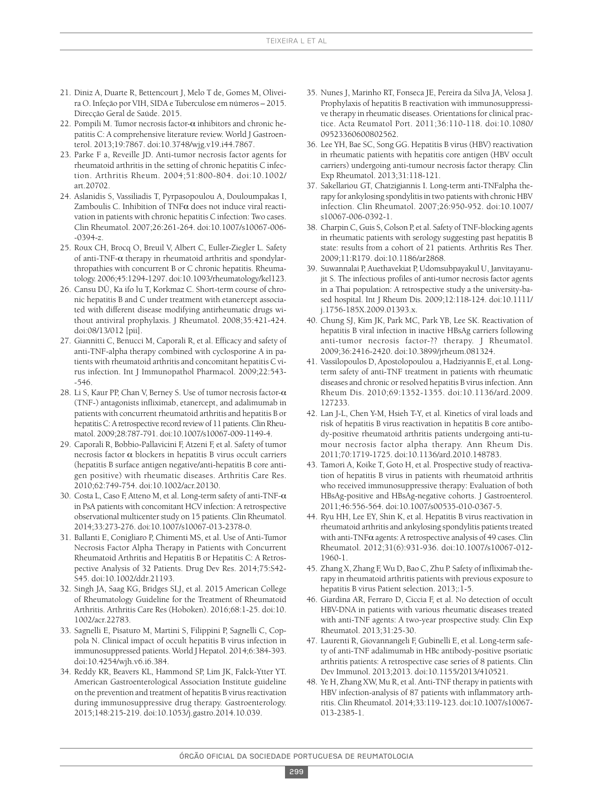- 21. Diniz A, Duarte R, Bettencourt J, Melo T de, Gomes M, Oliveira O. Infeção por VIH, SIDA e Tuberculose em números – 2015. Direcção Geral de Saúde. 2015.
- 22. Pompili M. Tumor necrosis factor- $\alpha$  inhibitors and chronic hepatitis C: A comprehensive literature review. World J Gastroenterol. 2013;19:7867. doi:10.3748/wjg.v19.i44.7867.
- 23. Parke F a, Reveille JD. Anti-tumor necrosis factor agents for rheumatoid arthritis in the setting of chronic hepatitis C infection. Arthritis Rheum. 2004;51:800-804. doi:10.1002/ art.20702
- 24. Aslanidis S, Vassiliadis T, Pyrpasopoulou A, Douloumpakas I, Zamboulis C. Inhibition of TNF $\alpha$  does not induce viral reactivation in patients with chronic hepatitis C infection: Two cases. Clin Rheumatol. 2007;26:261-264. doi:10.1007/s10067-006- -0394-z.
- 25. Roux CH, Brocq O, Breuil V, Albert C, Euller-Ziegler L. Safety of anti-TNF- $\alpha$  therapy in rheumatoid arthritis and spondylarthropathies with concurrent B or C chronic hepatitis. Rheumatology. 2006;45:1294-1297. doi:10.1093/rheumatology/kel123.
- 26. Cansu DÜ, Ka ifo lu T, Korkmaz C. Short-term course of chronic hepatitis B and C under treatment with etanercept associated with different disease modifying antirheumatic drugs without antiviral prophylaxis. J Rheumatol. 2008;35:421-424. doi:08/13/012 [pii].
- 27. Giannitti C, Benucci M, Caporali R, et al. Efficacy and safety of anti-TNF-alpha therapy combined with cyclosporine A in patients with rheumatoid arthritis and concomitant hepatitis C virus infection. Int J Immunopathol Pharmacol. 2009;22:543- -546.
- 28. Li S, Kaur PP, Chan V, Berney S. Use of tumor necrosis factor- $\alpha$ (TNF-) antagonists infliximab, etanercept, and adalimumab in patients with concurrent rheumatoid arthritis and hepatitis B or hepatitis C: A retrospective record review of 11 patients. Clin Rheumatol. 2009;28:787-791. doi:10.1007/s10067-009-1149-4.
- 29. Caporali R, Bobbio-Pallavicini F, Atzeni F, et al. Safety of tumor necrosis factor  $\alpha$  blockers in hepatitis B virus occult carriers (hepatitis B surface antigen negative/anti-hepatitis B core antigen positive) with rheumatic diseases. Arthritis Care Res. 2010;62:749-754. doi:10.1002/acr.20130.
- 30. Costa L, Caso F, Atteno M, et al. Long-term safety of anti-TNF- $\alpha$ in PsA patients with concomitant HCV infection: A retrospective observational multicenter study on 15 patients. Clin Rheumatol. 2014;33:273-276. doi:10.1007/s10067-013-2378-0.
- 31. Ballanti E, Conigliaro P, Chimenti MS, et al. Use of Anti-Tumor Necrosis Factor Alpha Therapy in Patients with Concurrent Rheumatoid Arthritis and Hepatitis B or Hepatitis C: A Retrospective Analysis of 32 Patients. Drug Dev Res. 2014;75:S42- S45. doi:10.1002/ddr.21193.
- 32. Singh JA, Saag KG, Bridges SLJ, et al. 2015 American College of Rheumatology Guideline for the Treatment of Rheumatoid Arthritis. Arthritis Care Res (Hoboken). 2016;68:1-25. doi:10. 1002/acr.22783.
- 33. Sagnelli E, Pisaturo M, Martini S, Filippini P, Sagnelli C, Coppola N. Clinical impact of occult hepatitis B virus infection in immunosuppressed patients. World J Hepatol. 2014;6:384-393. doi:10.4254/wjh.v6.i6.384.
- 34. Reddy KR, Beavers KL, Hammond SP, Lim JK, Falck-Ytter YT. American Gastroenterological Association Institute guideline on the prevention and treatment of hepatitis B virus reactivation during immunosuppressive drug therapy. Gastroenterology. 2015;148:215-219. doi:10.1053/j.gastro.2014.10.039.
- 35. Nunes J, Marinho RT, Fonseca JE, Pereira da Silva JA, Velosa J. Prophylaxis of hepatitis B reactivation with immunosuppressive therapy in rheumatic diseases. Orientations for clinical practice. Acta Reumatol Port. 2011;36:110-118. doi:10.1080/ 09523360600802562.
- 36. Lee YH, Bae SC, Song GG. Hepatitis B virus (HBV) reactivation in rheumatic patients with hepatitis core antigen (HBV occult carriers) undergoing anti-tumour necrosis factor therapy. Clin Exp Rheumatol. 2013;31:118-121.
- 37. Sakellariou GT, Chatzigiannis I. Long-term anti-TNFalpha therapy for ankylosing spondylitis in two patients with chronic HBV infection. Clin Rheumatol. 2007;26:950-952. doi:10.1007/ s10067-006-0392-1.
- 38. Charpin C, Guis S, Colson P, et al. Safety of TNF-blocking agents in rheumatic patients with serology suggesting past hepatitis B state: results from a cohort of 21 patients. Arthritis Res Ther. 2009;11:R179. doi:10.1186/ar2868.
- 39. Suwannalai P, Auethavekiat P, Udomsubpayakul U, Janvitayanujit S. The infectious profiles of anti-tumor necrosis factor agents in a Thai population: A retrospective study a the university-based hospital. Int J Rheum Dis. 2009;12:118-124. doi:10.1111/ j.1756-185X.2009.01393.x.
- 40. Chung SJ, Kim JK, Park MC, Park YB, Lee SK. Reactivation of hepatitis B viral infection in inactive HBsAg carriers following anti-tumor necrosis factor-?? therapy. J Rheumatol. 2009;36:2416-2420. doi:10.3899/jrheum.081324.
- 41. Vassilopoulos D, Apostolopoulou a, Hadziyannis E, et al. Longterm safety of anti-TNF treatment in patients with rheumatic diseases and chronic or resolved hepatitis B virusinfection. Ann Rheum Dis. 2010;69:1352-1355. doi:10.1136/ard.2009. 127233.
- 42. Lan J-L, Chen Y-M, Hsieh T-Y, et al. Kinetics of viral loads and risk of hepatitis B virus reactivation in hepatitis B core antibody-positive rheumatoid arthritis patients undergoing anti-tumour necrosis factor alpha therapy. Ann Rheum Dis. 2011;70:1719-1725. doi:10.1136/ard.2010.148783.
- 43. Tamori A, Koike T, Goto H, et al. Prospective study of reactivation of hepatitis B virus in patients with rheumatoid arthritis who received immunosuppressive therapy: Evaluation of both HBsAg-positive and HBsAg-negative cohorts. J Gastroenterol. 2011;46:556-564. doi:10.1007/s00535-010-0367-5.
- 44. Ryu HH, Lee EY, Shin K, et al. Hepatitis B virus reactivation in rheumatoid arthritis and ankylosing spondylitis patients treated with anti-TNF $\alpha$  agents: A retrospective analysis of 49 cases. Clin Rheumatol. 2012;31(6):931-936. doi:10.1007/s10067-012- 1960-1.
- 45. Zhang X, Zhang F, Wu D, Bao C, Zhu P. Safety of infliximab therapy in rheumatoid arthritis patients with previous exposure to hepatitis B virus Patient selection. 2013;:1-5.
- 46. Giardina AR, Ferraro D, Ciccia F, et al. No detection of occult HBV-DNA in patients with various rheumatic diseases treated with anti-TNF agents: A two-year prospective study. Clin Exp Rheumatol. 2013;31:25-30.
- 47. Laurenti R, Giovannangeli F, Gubinelli E, et al. Long-term safety of anti-TNF adalimumab in HBc antibody-positive psoriatic arthritis patients: A retrospective case series of 8 patients. Clin Dev Immunol. 2013;2013. doi:10.1155/2013/410521.
- 48. Ye H, Zhang XW, Mu R, et al. Anti-TNF therapy in patients with HBV infection-analysis of 87 patients with inflammatory arthritis. Clin Rheumatol. 2014;33:119-123. doi:10.1007/s10067- 013-2385-1.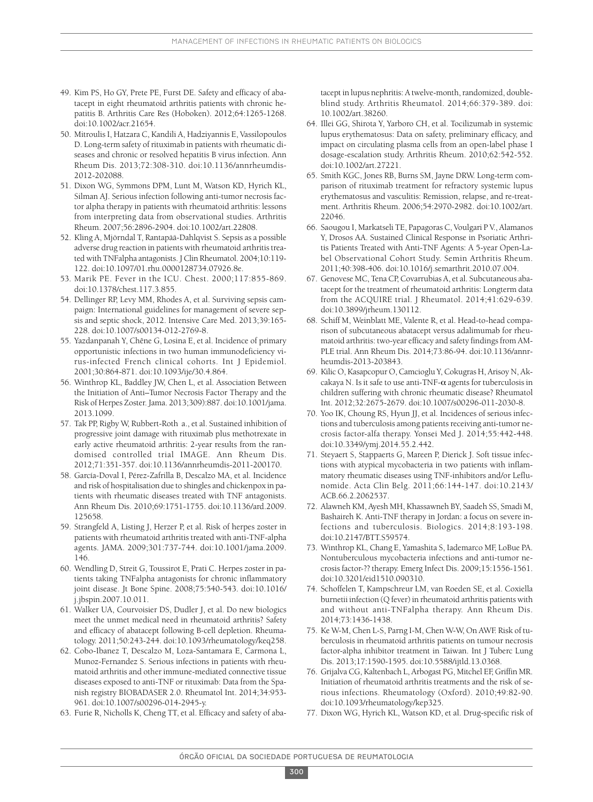- 49. Kim PS, Ho GY, Prete PE, Furst DE. Safety and efficacy of abatacept in eight rheumatoid arthritis patients with chronic hepatitis B. Arthritis Care Res (Hoboken). 2012;64:1265-1268. doi:10.1002/acr.21654.
- 50. Mitroulis I, Hatzara C, Kandili A, Hadziyannis E, Vassilopoulos D. Long-term safety of rituximab in patients with rheumatic diseases and chronic or resolved hepatitis B virus infection. Ann Rheum Dis. 2013;72:308-310. doi:10.1136/annrheumdis-2012-202088.
- 51. Dixon WG, Symmons DPM, Lunt M, Watson KD, Hyrich KL, Silman AJ. Serious infection following anti-tumor necrosis factor alpha therapy in patients with rheumatoid arthritis: lessons from interpreting data from observational studies. Arthritis Rheum. 2007;56:2896-2904. doi:10.1002/art.22808.
- 52. Kling A, Mjörndal T, Rantapää-Dahlqvist S. Sepsis as a possible adverse drug reaction in patients with rheumatoid arthritis treated with TNFalpha antagonists. J Clin Rheumatol. 2004;10:119- 122. doi:10.1097/01.rhu.0000128734.07926.8e.
- 53. Marik PE. Fever in the ICU. Chest. 2000;117:855-869. doi:10.1378/chest.117.3.855.
- 54. Dellinger RP, Levy MM, Rhodes A, et al. Surviving sepsis campaign: International guidelines for management of severe sepsis and septic shock, 2012. Intensive Care Med. 2013;39:165- 228. doi:10.1007/s00134-012-2769-8.
- 55. Yazdanpanah Y, Chêne G, Losina E, et al. Incidence of primary opportunistic infections in two human immunodeficiency virus-infected French clinical cohorts. Int J Epidemiol. 2001;30:864-871. doi:10.1093/ije/30.4.864.
- 56. Winthrop KL, Baddley JW, Chen L, et al. Association Between the Initiation of Anti–Tumor Necrosis Factor Therapy and the Risk of Herpes Zoster. Jama. 2013;309):887. doi:10.1001/jama. 2013.1099.
- 57. Tak PP, Rigby W, Rubbert-Roth a., et al. Sustained inhibition of progressive joint damage with rituximab plus methotrexate in early active rheumatoid arthritis: 2-year results from the randomised controlled trial IMAGE. Ann Rheum Dis. 2012;71:351-357. doi:10.1136/annrheumdis-2011-200170.
- 58. García-Doval I, Pérez-Zafrilla B, Descalzo MA, et al. Incidence and risk of hospitalisation due to shingles and chickenpox in patients with rheumatic diseases treated with TNF antagonists. Ann Rheum Dis. 2010;69:1751-1755. doi:10.1136/ard.2009. 125658.
- 59. Strangfeld A, Listing J, Herzer P, et al. Risk of herpes zoster in patients with rheumatoid arthritis treated with anti-TNF-alpha agents. JAMA. 2009;301:737-744. doi:10.1001/jama.2009. 146.
- 60. Wendling D, Streit G, Toussirot E, Prati C. Herpes zoster in patients taking TNFalpha antagonists for chronic inflammatory joint disease. Jt Bone Spine. 2008;75:540-543. doi:10.1016/ j.jbspin.2007.10.011.
- 61. Walker UA, Courvoisier DS, Dudler J, et al. Do new biologics meet the unmet medical need in rheumatoid arthritis? Safety and efficacy of abatacept following B-cell depletion. Rheumatology. 2011;50:243-244. doi:10.1093/rheumatology/keq258.
- 62. Cobo-Ibanez T, Descalzo M, Loza-Santamara E, Carmona L, Munoz-Fernandez S. Serious infections in patients with rheumatoid arthritis and other immune-mediated connective tissue diseases exposed to anti-TNF or rituximab: Data from the Spanish registry BIOBADASER 2.0. Rheumatol Int. 2014;34:953- 961. doi:10.1007/s00296-014-2945-y.
- 63. Furie R, Nicholls K, Cheng TT, et al. Efficacy and safety of aba-

tacept in lupus nephritis: A twelve-month, randomized, doubleblind study. Arthritis Rheumatol. 2014;66:379-389. doi: 10.1002/art.38260.

- 64. Illei GG, Shirota Y, Yarboro CH, et al. Tocilizumab in systemic lupus erythematosus: Data on safety, preliminary efficacy, and impact on circulating plasma cells from an open-label phase I dosage-escalation study. Arthritis Rheum. 2010;62:542-552. doi:10.1002/art.27221.
- 65. Smith KGC, Jones RB, Burns SM, Jayne DRW. Long-term comparison of rituximab treatment for refractory systemic lupus erythematosus and vasculitis: Remission, relapse, and re-treatment. Arthritis Rheum. 2006;54:2970-2982. doi:10.1002/art. 22046.
- 66. Saougou I, Markatseli TE, Papagoras C, Voulgari P V., Alamanos Y, Drosos AA. Sustained Clinical Response in Psoriatic Arthritis Patients Treated with Anti-TNF Agents: A 5-year Open-Label Observational Cohort Study. Semin Arthritis Rheum. 2011;40:398-406. doi:10.1016/j.semarthrit.2010.07.004.
- 67. Genovese MC, Tena CP, Covarrubias A, et al. Subcutaneous abatacept for the treatment of rheumatoid arthritis: Longterm data from the ACQUIRE trial. J Rheumatol. 2014;41:629-639. doi:10.3899/jrheum.130112.
- 68. Schiff M, Weinblatt ME, Valente R, et al. Head-to-head comparison of subcutaneous abatacept versus adalimumab for rheumatoid arthritis: two-year efficacy and safety findings from AM-PLE trial. Ann Rheum Dis. 2014;73:86-94. doi:10.1136/annrheumdis-2013-203843.
- 69. Kilic O, Kasapcopur O, Camcioglu Y, Cokugras H, Arisoy N, Akcakaya N. Is it safe to use anti-TNF- $\alpha$  agents for tuberculosis in children suffering with chronic rheumatic disease? Rheumatol Int. 2012;32:2675-2679. doi:10.1007/s00296-011-2030-8.
- 70. Yoo IK, Choung RS, Hyun JJ, et al. Incidences of serious infections and tuberculosis among patients receiving anti-tumor necrosis factor-alfa therapy. Yonsei Med J. 2014;55:442-448. doi:10.3349/ymj.2014.55.2.442.
- 71. Steyaert S, Stappaerts G, Mareen P, Dierick J. Soft tissue infections with atypical mycobacteria in two patients with inflammatory rheumatic diseases using TNF-inhibitors and/or Leflunomide. Acta Clin Belg. 2011;66:144-147. doi:10.2143/ ACB.66.2.2062537.
- 72. Alawneh KM, Ayesh MH, Khassawneh BY, Saadeh SS, Smadi M, Bashaireh K. Anti-TNF therapy in Jordan: a focus on severe infections and tuberculosis. Biologics. 2014;8:193-198. doi:10.2147/BTT.S59574.
- 73. Winthrop KL, Chang E, Yamashita S, Iademarco MF, LoBue PA. Nontuberculous mycobacteria infections and anti-tumor necrosis factor-?? therapy. Emerg Infect Dis. 2009;15:1556-1561. doi:10.3201/eid1510.090310.
- 74. Schoffelen T, Kampschreur LM, van Roeden SE, et al. Coxiella burnetii infection (Q fever) in rheumatoid arthritis patients with and without anti-TNFalpha therapy. Ann Rheum Dis. 2014;73:1436-1438.
- 75. Ke W-M, Chen L-S, Parng I-M, Chen W-W, On AWF. Risk of tuberculosis in rheumatoid arthritis patients on tumour necrosis factor-alpha inhibitor treatment in Taiwan. Int J Tuberc Lung Dis. 2013;17:1590-1595. doi:10.5588/ijtld.13.0368.
- 76. Grijalva CG, Kaltenbach L, Arbogast PG, Mitchel EF, Griffin MR. Initiation of rheumatoid arthritis treatments and the risk of serious infections. Rheumatology (Oxford). 2010;49:82-90. doi:10.1093/rheumatology/kep325.
- 77. Dixon WG, Hyrich KL, Watson KD, et al. Drug-specific risk of

300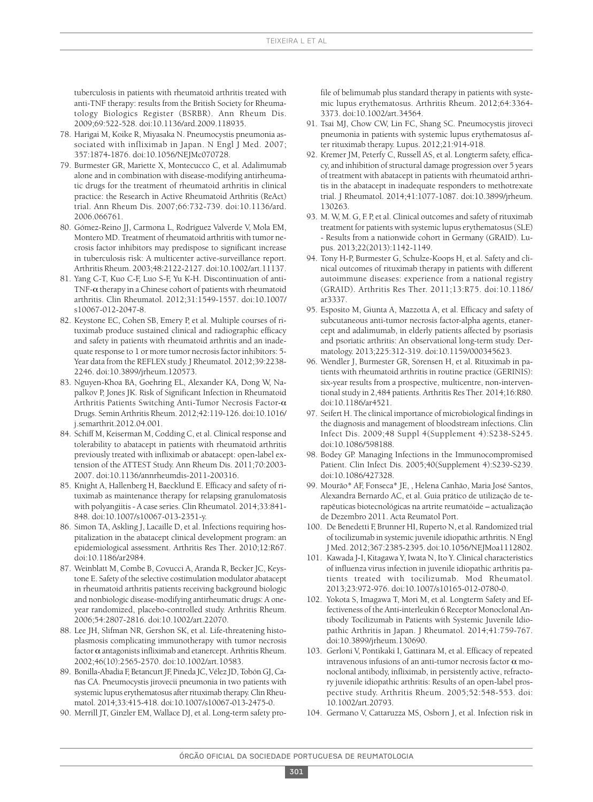tuberculosis in patients with rheumatoid arthritis treated with anti-TNF therapy: results from the British Society for Rheumatology Biologics Register (BSRBR). Ann Rheum Dis. 2009;69:522-528. doi:10.1136/ard.2009.118935.

- 78. Harigai M, Koike R, Miyasaka N. Pneumocystis pneumonia associated with infliximab in Japan. N Engl J Med. 2007: 357:1874-1876. doi:10.1056/NEJMc070728.
- 79. Burmester GR, Mariette X, Montecucco C, et al. Adalimumab alone and in combination with disease-modifying antirheumatic drugs for the treatment of rheumatoid arthritis in clinical practice: the Research in Active Rheumatoid Arthritis (ReAct) trial. Ann Rheum Dis. 2007;66:732-739. doi:10.1136/ard. 2006.066761.
- 80. Gómez-Reino JJ, Carmona L, Rodríguez Valverde V, Mola EM, Montero MD. Treatment of rheumatoid arthritis with tumor necrosis factor inhibitors may predispose to significant increase in tuberculosis risk: A multicenter active-surveillance report. Arthritis Rheum. 2003;48:2122-2127. doi:10.1002/art.11137.
- 81. Yang C-T, Kuo C-F, Luo S-F, Yu K-H. Discontinuation of anti-TNF- $\alpha$  therapy in a Chinese cohort of patients with rheumatoid arthritis. Clin Rheumatol. 2012;31:1549-1557. doi:10.1007/ s10067-012-2047-8.
- 82. Keystone EC, Cohen SB, Emery P, et al. Multiple courses of rituximab produce sustained clinical and radiographic efficacy and safety in patients with rheumatoid arthritis and an inadequate response to 1 or more tumor necrosisfactor inhibitors: 5- Year data from the REFLEX study. J Rheumatol. 2012;39:2238- 2246. doi:10.3899/jrheum.120573.
- 83. Nguyen-Khoa BA, Goehring EL, Alexander KA, Dong W, Napalkov P, Jones JK. Risk of Significant Infection in Rheumatoid Arthritis Patients Switching Anti-Tumor Necrosis Factor-a Drugs. Semin Arthritis Rheum. 2012;42:119-126. doi:10.1016/ j.semarthrit.2012.04.001.
- 84. Schiff M, Keiserman M, Codding C, et al. Clinical response and tolerability to abatacept in patients with rheumatoid arthritis previously treated with infliximab or abatacept: open-label extension of the ATTEST Study. Ann Rheum Dis. 2011;70:2003- 2007. doi:10.1136/annrheumdis-2011-200316.
- 85. Knight A, Hallenberg H, Baecklund E. Efficacy and safety of rituximab as maintenance therapy for relapsing granulomatosis with polyangiitis- A case series. Clin Rheumatol. 2014;33:841- 848. doi:10.1007/s10067-013-2351-y.
- 86. Simon TA, Askling J, Lacaille D, et al. Infections requiring hospitalization in the abatacept clinical development program: an epidemiological assessment. Arthritis Res Ther. 2010;12:R67. doi:10.1186/ar2984.
- 87. Weinblatt M, Combe B, Covucci A, Aranda R, Becker JC, Keystone E. Safety of the selective costimulation modulator abatacept in rheumatoid arthritis patients receiving background biologic and nonbiologic disease-modifying antirheumatic drugs: A oneyear randomized, placebo-controlled study. Arthritis Rheum. 2006;54:2807-2816. doi:10.1002/art.22070.
- 88. Lee JH, Slifman NR, Gershon SK, et al. Life-threatening histoplasmosis complicating immunotherapy with tumor necrosis factor  $\alpha$  antagonists infliximab and etanercept. Arthritis Rheum. 2002;46(10):2565-2570. doi:10.1002/art.10583.
- 89. Bonilla-Abadia F, Betancurt JF, Pineda JC, Vélez JD, Tobón GJ, Cañas CA. Pneumocystis jirovecii pneumonia in two patients with systemic lupus erythematosus after rituximab therapy. Clin Rheumatol. 2014;33:415-418. doi:10.1007/s10067-013-2475-0.
- 90. Merrill JT, Ginzler EM, Wallace DJ, et al. Long-term safety pro-

file of belimumab plus standard therapy in patients with systemic lupus erythematosus. Arthritis Rheum. 2012;64:3364- 3373. doi:10.1002/art.34564.

- 91. Tsai MJ, Chow CW, Lin FC, Shang SC. Pneumocystis jiroveci pneumonia in patients with systemic lupus erythematosus after rituximab therapy. Lupus. 2012;21:914-918.
- 92. Kremer JM, Peterfy C, Russell AS, et al. Longterm safety, efficacy, and inhibition of structural damage progression over 5 years of treatment with abatacept in patients with rheumatoid arthritis in the abatacept in inadequate responders to methotrexate trial. J Rheumatol. 2014;41:1077-1087. doi:10.3899/jrheum. 130263.
- 93. M. W, M. G, F. P, et al. Clinical outcomes and safety of rituximab treatment for patients with systemic lupus erythematosus(SLE) - Results from a nationwide cohort in Germany (GRAID). Lupus. 2013;22(2013):1142-1149.
- 94. Tony H-P, Burmester G, Schulze-Koops H, et al. Safety and clinical outcomes of rituximab therapy in patients with different autoimmune diseases: experience from a national registry (GRAID). Arthritis Res Ther. 2011;13:R75. doi:10.1186/ ar3337.
- 95. Esposito M, Giunta A, Mazzotta A, et al. Efficacy and safety of subcutaneous anti-tumor necrosis factor-alpha agents, etanercept and adalimumab, in elderly patients affected by psoriasis and psoriatic arthritis: An observational long-term study. Dermatology. 2013;225:312-319. doi:10.1159/000345623.
- 96. Wendler J, Burmester GR, Sörensen H, et al. Rituximab in patients with rheumatoid arthritis in routine practice (GERINIS): six-year results from a prospective, multicentre, non-interventional study in 2,484 patients. Arthritis Res Ther. 2014;16:R80. doi:10.1186/ar4521.
- 97. Seifert H. The clinical importance of microbiological findingsin the diagnosis and management of bloodstream infections. Clin Infect Dis. 2009;48 Suppl 4(Supplement 4):S238-S245. doi:10.1086/598188.
- 98. Bodey GP. Managing Infections in the Immunocompromised Patient. Clin Infect Dis. 2005;40(Supplement 4):S239-S239. doi:10.1086/427328.
- 99. Mourão\* AF, Fonseca\* JE, , Helena Canhão, Maria José Santos, Alexandra Bernardo AC, et al. Guia prático de utilização de terapêuticas biotecnológicas na artrite reumatóide – actualização de Dezembro 2011. Acta Reumatol Port.
- 100. De Benedetti F, Brunner HI, Ruperto N, et al. Randomized trial of tocilizumab in systemic juvenile idiopathic arthritis. N Engl J Med. 2012;367:2385-2395. doi:10.1056/NEJMoa1112802.
- 101. Kawada J-I, Kitagawa Y, Iwata N, Ito Y. Clinical characteristics of influenza virus infection in juvenile idiopathic arthritis patients treated with tocilizumab. Mod Rheumatol. 2013;23:972-976. doi:10.1007/s10165-012-0780-0.
- 102. Yokota S, Imagawa T, Mori M, et al. Longterm Safety and Effectiveness of the Anti-interleukin 6 Receptor Monoclonal Antibody Tocilizumab in Patients with Systemic Juvenile Idiopathic Arthritis in Japan. J Rheumatol. 2014;41:759-767. doi:10.3899/jrheum.130690.
- 103. Gerloni V, Pontikaki I, Gattinara M, et al. Efficacy of repeated intravenous infusions of an anti-tumor necrosis factor  $\alpha$  monoclonal antibody, infliximab, in persistently active, refractory juvenile idiopathic arthritis: Results of an open-label prospective study. Arthritis Rheum. 2005;52:548-553. doi: 10.1002/art.20793.
- 104. Germano V, Cattaruzza MS, Osborn J, et al. Infection risk in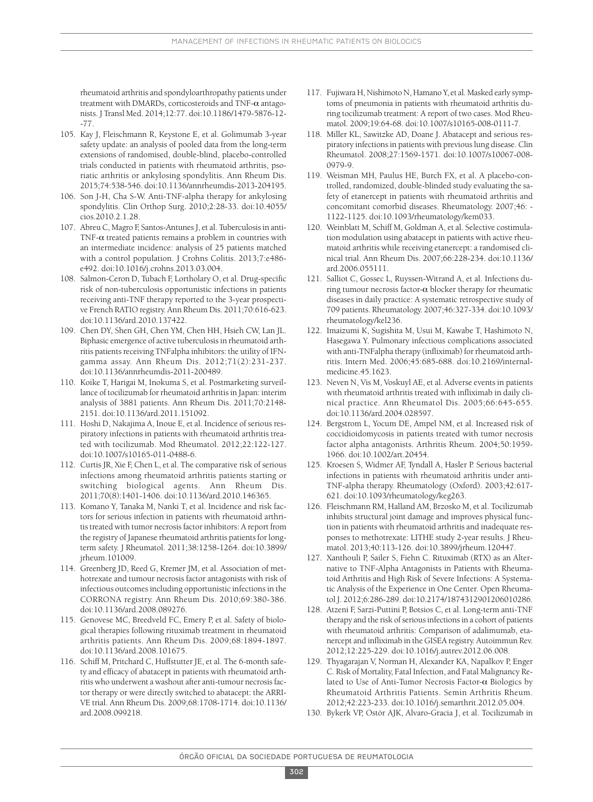rheumatoid arthritis and spondyloarthropathy patients under treatment with DMARDs, corticosteroids and TNF- $\alpha$  antagonists. J Transl Med. 2014;12:77. doi:10.1186/1479-5876-12- -77.

- 105. Kay J, Fleischmann R, Keystone E, et al. Golimumab 3-year safety update: an analysis of pooled data from the long-term extensions of randomised, double-blind, placebo-controlled trials conducted in patients with rheumatoid arthritis, psoriatic arthritis or ankylosing spondylitis. Ann Rheum Dis. 2015;74:538-546. doi:10.1136/annrheumdis-2013-204195.
- 106. Son J-H, Cha S-W. Anti-TNF-alpha therapy for ankylosing spondylitis. Clin Orthop Surg. 2010;2:28-33. doi:10.4055/ cios.2010.2.1.28.
- 107. Abreu C, Magro F, Santos-Antunes J, et al. Tuberculosis in anti-TNF- $\alpha$  treated patients remains a problem in countries with an intermediate incidence: analysis of 25 patients matched with a control population. J Crohns Colitis. 2013;7:e486 e492. doi:10.1016/j.crohns.2013.03.004.
- 108. Salmon-Ceron D, Tubach F, Lortholary O, et al. Drug-specific risk of non-tuberculosis opportunistic infections in patients receiving anti-TNF therapy reported to the 3-year prospective French RATIO registry. Ann Rheum Dis. 2011;70:616-623. doi:10.1136/ard.2010.137422.
- 109. Chen DY, Shen GH, Chen YM, Chen HH, Hsieh CW, Lan JL. Biphasic emergence of active tuberculosisin rheumatoid arthritis patients receiving TNFalpha inhibitors: the utility of IFNgamma assay. Ann Rheum Dis. 2012;71(2):231-237. doi:10.1136/annrheumdis-2011-200489.
- 110. Koike T, Harigai M, Inokuma S, et al. Postmarketing surveillance of tocilizumab for rheumatoid arthritis in Japan: interim analysis of 3881 patients. Ann Rheum Dis. 2011;70:2148- 2151. doi:10.1136/ard.2011.151092.
- 111. Hoshi D, Nakajima A, Inoue E, et al. Incidence of serious respiratory infections in patients with rheumatoid arthritis treated with tocilizumab. Mod Rheumatol. 2012;22:122-127. doi:10.1007/s10165-011-0488-6.
- 112. Curtis JR, Xie F, Chen L, et al. The comparative risk of serious infections among rheumatoid arthritis patients starting or switching biological agents. Ann Rheum Dis. 2011;70(8):1401-1406. doi:10.1136/ard.2010.146365.
- 113. Komano Y, Tanaka M, Nanki T, et al. Incidence and risk factors for serious infection in patients with rheumatoid arthritistreated with tumor necrosisfactor inhibitors: A report from the registry of Japanese rheumatoid arthritis patients for longterm safety. J Rheumatol. 2011;38:1258-1264. doi:10.3899/ jrheum.101009.
- 114. Greenberg JD, Reed G, Kremer JM, et al. Association of methotrexate and tumour necrosis factor antagonists with risk of infectious outcomes including opportunistic infections in the CORRONA registry. Ann Rheum Dis. 2010;69:380-386. doi:10.1136/ard.2008.089276.
- 115. Genovese MC, Breedveld FC, Emery P, et al. Safety of biological therapies following rituximab treatment in rheumatoid arthritis patients. Ann Rheum Dis. 2009;68:1894-1897. doi:10.1136/ard.2008.101675.
- 116. Schiff M, Pritchard C, Huffstutter JE, et al. The 6-month safety and efficacy of abatacept in patients with rheumatoid arthritis who underwent a washout after anti-tumour necrosisfactor therapy or were directly switched to abatacept: the ARRI-VE trial. Ann Rheum Dis. 2009;68:1708-1714. doi:10.1136/ ard.2008.099218.
- 117. Fujiwara H, Nishimoto N, Hamano Y, et al. Masked early symptoms of pneumonia in patients with rheumatoid arthritis during tocilizumab treatment: A report of two cases. Mod Rheumatol. 2009;19:64-68. doi:10.1007/s10165-008-0111-7.
- 118. Miller KL, Sawitzke AD, Doane J. Abatacept and serious respiratory infectionsin patients with previouslung disease. Clin Rheumatol. 2008;27:1569-1571. doi:10.1007/s10067-008- 0979-9.
- 119. Weisman MH, Paulus HE, Burch FX, et al. A placebo-controlled, randomized, double-blinded study evaluating the safety of etanercept in patients with rheumatoid arthritis and concomitant comorbid diseases. Rheumatology. 2007;46: - 1122-1125. doi:10.1093/rheumatology/kem033.
- 120. Weinblatt M, Schiff M, Goldman A, et al. Selective costimulation modulation using abatacept in patients with active rheumatoid arthritis while receiving etanercept: a randomised clinical trial. Ann Rheum Dis. 2007;66:228-234. doi:10.1136/ ard.2006.055111.
- 121. Salliot C, Gossec L, Ruyssen-Witrand A, et al. Infections during tumour necrosis factor- $\alpha$  blocker therapy for rheumatic diseases in daily practice: A systematic retrospective study of 709 patients. Rheumatology. 2007;46:327-334. doi:10.1093/ rheumatology/kel236.
- 122. Imaizumi K, Sugishita M, Usui M, Kawabe T, Hashimoto N, Hasegawa Y. Pulmonary infectious complications associated with anti-TNFalpha therapy (infliximab) for rheumatoid arthritis. Intern Med. 2006;45:685-688. doi:10.2169/internalmedicine.45.1623.
- 123. Neven N, Vis M, Voskuyl AE, et al. Adverse events in patients with rheumatoid arthritis treated with infliximab in daily clinical practice. Ann Rheumatol Dis. 2005;66:645-655. doi:10.1136/ard.2004.028597.
- 124. Bergstrom L, Yocum DE, Ampel NM, et al. Increased risk of coccidioidomycosis in patients treated with tumor necrosis factor alpha antagonists. Arthritis Rheum. 2004;50:1959- 1966. doi:10.1002/art.20454.
- 125. Kroesen S, Widmer AF, Tyndall A, Hasler P. Serious bacterial infections in patients with rheumatoid arthritis under anti-TNF-alpha therapy. Rheumatology (Oxford). 2003;42:617- 621. doi:10.1093/rheumatology/keg263.
- 126. Fleischmann RM, Halland AM, Brzosko M, et al. Tocilizumab inhibits structural joint damage and improves physical function in patients with rheumatoid arthritis and inadequate responses to methotrexate: LITHE study 2-year results. J Rheumatol. 2013;40:113-126. doi:10.3899/jrheum.120447.
- 127. Xanthouli P, Sailer S, Fiehn C. Rituximab (RTX) as an Alternative to TNF-Alpha Antagonists in Patients with Rheumatoid Arthritis and High Risk of Severe Infections: A Systematic Analysis of the Experience in One Center. Open Rheumatol J. 2012;6:286-289. doi:10.2174/1874312901206010286.
- 128. Atzeni F, Sarzi-Puttini P, Botsios C, et al. Long-term anti-TNF therapy and the risk of serious infections in a cohort of patients with rheumatoid arthritis: Comparison of adalimumab, etanercept and infliximab in the GISEA registry. Autoimmun Rev. 2012;12:225-229. doi:10.1016/j.autrev.2012.06.008.
- 129. Thyagarajan V, Norman H, Alexander KA, Napalkov P, Enger C. Risk of Mortality, Fatal Infection, and Fatal Malignancy Related to Use of Anti-Tumor Necrosis Factor- $\alpha$  Biologics by Rheumatoid Arthritis Patients. Semin Arthritis Rheum. 2012;42:223-233. doi:10.1016/j.semarthrit.2012.05.004.
- 130. Bykerk VP, Ostör AJK, Alvaro-Gracia J, et al. Tocilizumab in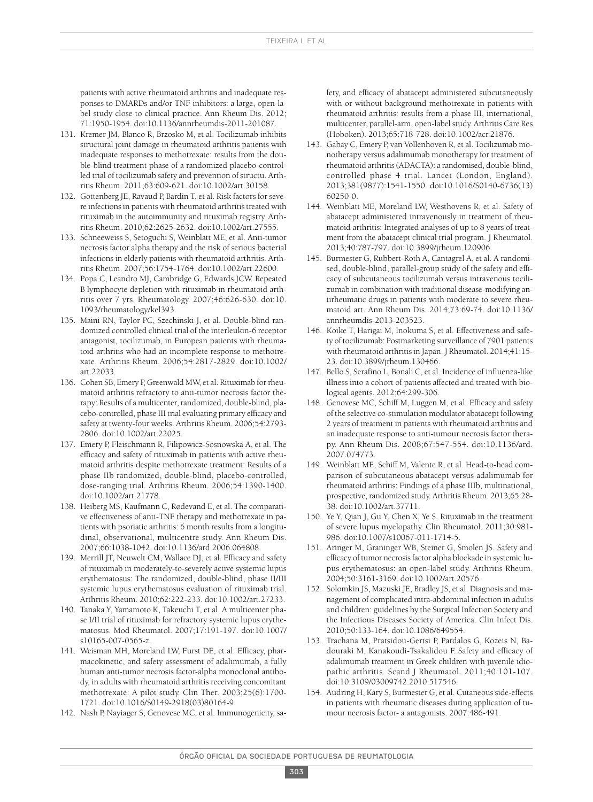patients with active rheumatoid arthritis and inadequate responses to DMARDs and/or TNF inhibitors: a large, open-label study close to clinical practice. Ann Rheum Dis. 2012; 71:1950-1954. doi:10.1136/annrheumdis-2011-201087.

- 131. Kremer JM, Blanco R, Brzosko M, et al. Tocilizumab inhibits structural joint damage in rheumatoid arthritis patients with inadequate responses to methotrexate: results from the double-blind treatment phase of a randomized placebo-controlled trial of tocilizumab safety and prevention of structu. Arthritis Rheum. 2011;63:609-621. doi:10.1002/art.30158.
- 132. Gottenberg JE, Ravaud P, Bardin T, et al. Risk factors for severe infections in patients with rheumatoid arthritis treated with rituximab in the autoimmunity and rituximab registry. Arthritis Rheum. 2010;62:2625-2632. doi:10.1002/art.27555.
- 133. Schneeweiss S, Setoguchi S, Weinblatt ME, et al. Anti-tumor necrosis factor alpha therapy and the risk of serious bacterial infections in elderly patients with rheumatoid arthritis. Arthritis Rheum. 2007;56:1754-1764. doi:10.1002/art.22600.
- 134. Popa C, Leandro MJ, Cambridge G, Edwards JCW. Repeated B lymphocyte depletion with rituximab in rheumatoid arthritis over 7 yrs. Rheumatology. 2007;46:626-630. doi:10. 1093/rheumatology/kel393.
- 135. Maini RN, Taylor PC, Szechinski J, et al. Double-blind randomized controlled clinical trial of the interleukin-6 receptor antagonist, tocilizumab, in European patients with rheumatoid arthritis who had an incomplete response to methotrexate. Arthritis Rheum. 2006;54:2817-2829. doi:10.1002/ art.22033.
- 136. Cohen SB, Emery P, Greenwald MW, et al. Rituximab for rheumatoid arthritis refractory to anti-tumor necrosis factor therapy: Results of a multicenter, randomized, double-blind, placebo-controlled, phase III trial evaluating primary efficacy and safety at twenty-four weeks. Arthritis Rheum. 2006;54:2793- 2806. doi:10.1002/art.22025.
- 137. Emery P, Fleischmann R, Filipowicz-Sosnowska A, et al. The efficacy and safety of rituximab in patients with active rheumatoid arthritis despite methotrexate treatment: Results of a phase IIb randomized, double-blind, placebo-controlled, dose-ranging trial. Arthritis Rheum. 2006;54:1390-1400. doi:10.1002/art.21778.
- 138. Heiberg MS, Kaufmann C, Rødevand E, et al. The comparative effectiveness of anti-TNF therapy and methotrexate in patients with psoriatic arthritis: 6 month results from a longitudinal, observational, multicentre study. Ann Rheum Dis. 2007;66:1038-1042. doi:10.1136/ard.2006.064808.
- 139. Merrill JT, Neuwelt CM, Wallace DJ, et al. Efficacy and safety of rituximab in moderately-to-severely active systemic lupus erythematosus: The randomized, double-blind, phase II/III systemic lupus erythematosus evaluation of rituximab trial. Arthritis Rheum. 2010;62:222-233. doi:10.1002/art.27233.
- 140. Tanaka Y, Yamamoto K, Takeuchi T, et al. A multicenter phase I/II trial of rituximab for refractory systemic lupus erythematosus. Mod Rheumatol. 2007;17:191-197. doi:10.1007/ s10165-007-0565-z.
- 141. Weisman MH, Moreland LW, Furst DE, et al. Efficacy, pharmacokinetic, and safety assessment of adalimumab, a fully human anti-tumor necrosis factor-alpha monoclonal antibody, in adults with rheumatoid arthritis receiving concomitant methotrexate: A pilot study. Clin Ther. 2003;25(6):1700- 1721. doi:10.1016/S0149-2918(03)80164-9.
- 142. Nash P, Nayiager S, Genovese MC, et al. Immunogenicity, sa-

fety, and efficacy of abatacept administered subcutaneously with or without background methotrexate in patients with rheumatoid arthritis: results from a phase III, international, multicenter, parallel-arm, open-labelstudy. Arthritis Care Res (Hoboken). 2013;65:718-728. doi:10.1002/acr.21876.

- 143. Gabay C, Emery P, van Vollenhoven R, et al. Tocilizumab monotherapy versus adalimumab monotherapy for treatment of rheumatoid arthritis(ADACTA): a randomised, double-blind, controlled phase 4 trial. Lancet (London, England). 2013;381(9877):1541-1550. doi:10.1016/S0140-6736(13) 60250-0.
- 144. Weinblatt ME, Moreland LW, Westhovens R, et al. Safety of abatacept administered intravenously in treatment of rheumatoid arthritis: Integrated analyses of up to 8 years of treatment from the abatacept clinical trial program. J Rheumatol. 2013;40:787-797. doi:10.3899/jrheum.120906.
- 145. Burmester G, Rubbert-Roth A, Cantagrel A, et al. A randomised, double-blind, parallel-group study of the safety and efficacy of subcutaneous tocilizumab versus intravenous tocilizumab in combination with traditional disease-modifying antirheumatic drugs in patients with moderate to severe rheumatoid art. Ann Rheum Dis. 2014;73:69-74. doi:10.1136/ annrheumdis-2013-203523.
- 146. Koike T, Harigai M, Inokuma S, et al. Effectiveness and safety of tocilizumab: Postmarketing surveillance of 7901 patients with rheumatoid arthritisin Japan. J Rheumatol. 2014;41:15- 23. doi:10.3899/jrheum.130466.
- 147. Bello S, Serafino L, Bonali C, et al. Incidence of influenza-like illness into a cohort of patients affected and treated with biological agents. 2012;64:299-306.
- 148. Genovese MC, Schiff M, Luggen M, et al. Efficacy and safety of the selective co-stimulation modulator abatacept following 2 years of treatment in patients with rheumatoid arthritis and an inadequate response to anti-tumour necrosis factor therapy. Ann Rheum Dis. 2008;67:547-554. doi:10.1136/ard. 2007.074773.
- 149. Weinblatt ME, Schiff M, Valente R, et al. Head-to-head comparison of subcutaneous abatacept versus adalimumab for rheumatoid arthritis: Findings of a phase IIIb, multinational, prospective, randomized study. Arthritis Rheum. 2013;65:28-38. doi:10.1002/art.37711.
- 150. Ye Y, Qian J, Gu Y, Chen X, Ye S. Rituximab in the treatment of severe lupus myelopathy. Clin Rheumatol. 2011;30:981- 986. doi:10.1007/s10067-011-1714-5.
- 151. Aringer M, Graninger WB, Steiner G, Smolen JS. Safety and efficacy of tumor necrosis factor alpha blockade in systemic lupus erythematosus: an open-label study. Arthritis Rheum. 2004;50:3161-3169. doi:10.1002/art.20576.
- 152. Solomkin JS, Mazuski JE, Bradley JS, et al. Diagnosis and management of complicated intra-abdominal infection in adults and children: guidelines by the Surgical Infection Society and the Infectious Diseases Society of America. Clin Infect Dis. 2010;50:133-164. doi:10.1086/649554.
- 153. Trachana M, Pratsidou-Gertsi P, Pardalos G, Kozeis N, Badouraki M, Kanakoudi-Tsakalidou F. Safety and efficacy of adalimumab treatment in Greek children with juvenile idiopathic arthritis. Scand J Rheumatol. 2011;40:101-107. doi:10.3109/03009742.2010.517546.
- 154. Audring H, Kary S, Burmester G, et al. Cutaneous side-effects in patients with rheumatic diseases during application of tumour necrosis factor- a antagonists. 2007:486-491.